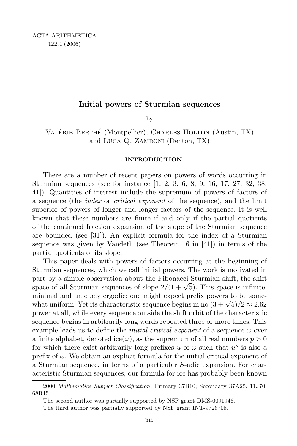# Initial powers of Sturmian sequences

by

VALÉRIE BERTHÉ (Montpellier), CHARLES HOLTON (Austin, TX) and Luca Q. Zamboni (Denton, TX)

#### **1. INTRODUCTION**

There are a number of recent papers on powers of words occurring in Sturmian sequences (see for instance [1, 2, 3, 6, 8, 9, 16, 17, 27, 32, 38, 41]). Quantities of interest include the supremum of powers of factors of a sequence (the index or critical exponent of the sequence), and the limit superior of powers of longer and longer factors of the sequence. It is well known that these numbers are finite if and only if the partial quotients of the continued fraction expansion of the slope of the Sturmian sequence are bounded (see [31]). An explicit formula for the index of a Sturmian sequence was given by Vandeth (see Theorem 16 in [41]) in terms of the partial quotients of its slope.

This paper deals with powers of factors occurring at the beginning of Sturmian sequences, which we call initial powers. The work is motivated in part by a simple observation about the Fibonacci Sturmian shift, the shift space of all Sturmian sequences of slope  $2/(1+\sqrt{5})$ . This space is infinite, minimal and uniquely ergodic; one might expect prefix powers to be somewhat uniform. Yet its characteristic sequence begins in no  $(3 + \sqrt{5})/2 \approx 2.62$ power at all, while every sequence outside the shift orbit of the characteristic sequence begins in arbitrarily long words repeated three or more times. This example leads us to define the *initial critical exponent* of a sequence  $\omega$  over a finite alphabet, denoted ice( $\omega$ ), as the supremum of all real numbers  $p > 0$ for which there exist arbitrarily long prefixes u of  $\omega$  such that  $u^p$  is also a prefix of  $\omega$ . We obtain an explicit formula for the initial critical exponent of a Sturmian sequence, in terms of a particular S-adic expansion. For characteristic Sturmian sequences, our formula for ice has probably been known

<sup>2000</sup> Mathematics Subject Classification: Primary 37B10; Secondary 37A25, 11J70, 68R15.

The second author was partially supported by NSF grant DMS-0091946.

The third author was partially supported by NSF grant INT-9726708.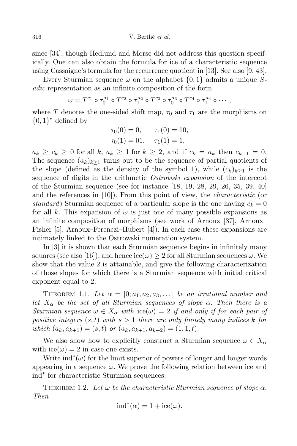316 V. Berthé et al.

since [34], though Hedlund and Morse did not address this question specifically. One can also obtain the formula for ice of a characteristic sequence using Cassaigne's formula for the recurrence quotient in [13]. See also [9, 43].

Every Sturmian sequence  $\omega$  on the alphabet  $\{0, 1\}$  admits a unique Sadic representation as an infinite composition of the form

$$
\omega = T^{c_1} \circ \tau_0^{a_1} \circ T^{c_2} \circ \tau_1^{a_2} \circ T^{c_3} \circ \tau_0^{a_3} \circ T^{c_4} \circ \tau_1^{a_4} \circ \cdots,
$$

where T denotes the one-sided shift map,  $\tau_0$  and  $\tau_1$  are the morphisms on  $\{0,1\}^*$  defined by

$$
\tau_0(0) = 0, \quad \tau_1(0) = 10, \n\tau_0(1) = 01, \quad \tau_1(1) = 1,
$$

 $a_k \geq c_k \geq 0$  for all k,  $a_k \geq 1$  for  $k \geq 2$ , and if  $c_k = a_k$  then  $c_{k-1} = 0$ . The sequence  $(a_k)_{k\geq 1}$  turns out to be the sequence of partial quotients of the slope (defined as the density of the symbol 1), while  $(c_k)_{k>1}$  is the sequence of digits in the arithmetic Ostrowski expansion of the intercept of the Sturmian sequence (see for instance [18, 19, 28, 29, 26, 35, 39, 40] and the references in [10]). From this point of view, the characteristic (or standard) Sturmian sequence of a particular slope is the one having  $c_k = 0$ for all k. This expansion of  $\omega$  is just one of many possible expansions as an infinite composition of morphisms (see work of Arnoux [37], Arnoux– Fisher [5], Arnoux–Ferenczi–Hubert [4]). In each case these expansions are intimately linked to the Ostrowski numeration system.

In [3] it is shown that each Sturmian sequence begins in infinitely many squares (see also [16]), and hence  $\mathrm{ice}(\omega) \geq 2$  for all Sturmian sequences  $\omega$ . We show that the value 2 is attainable, and give the following characterization of those slopes for which there is a Sturmian sequence with initial critical exponent equal to 2:

THEOREM 1.1. Let  $\alpha = [0; a_1, a_2, a_3, \ldots]$  be an irrational number and let  $X_{\alpha}$  be the set of all Sturmian sequences of slope  $\alpha$ . Then there is a Sturmian sequence  $\omega \in X_\alpha$  with  $\text{ice}(\omega) = 2$  if and only if for each pair of positive integers  $(s, t)$  with  $s > 1$  there are only finitely many indices k for which  $(a_k, a_{k+1}) = (s, t)$  or  $(a_k, a_{k+1}, a_{k+2}) = (1, 1, t)$ .

We also show how to explicitly construct a Sturmian sequence  $\omega \in X_{\alpha}$ with  $\text{ice}(\omega) = 2$  in case one exists.

Write  $\text{ind}^*(\omega)$  for the limit superior of powers of longer and longer words appearing in a sequence  $\omega$ . We prove the following relation between ice and ind<sup>∗</sup> for characteristic Sturmian sequences:

THEOREM 1.2. Let  $\omega$  be the characteristic Sturmian sequence of slope  $\alpha$ . Then

$$
ind^*(\alpha) = 1 + ice(\omega).
$$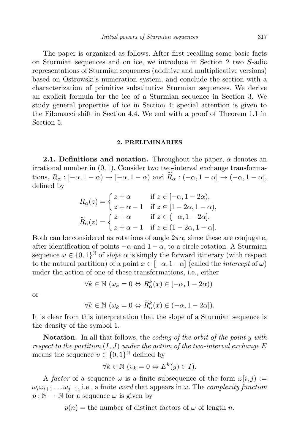The paper is organized as follows. After first recalling some basic facts on Sturmian sequences and on ice, we introduce in Section 2 two S-adic representations of Sturmian sequences (additive and multiplicative versions) based on Ostrowski's numeration system, and conclude the section with a characterization of primitive substitutive Sturmian sequences. We derive an explicit formula for the ice of a Sturmian sequence in Section 3. We study general properties of ice in Section 4; special attention is given to the Fibonacci shift in Section 4.4. We end with a proof of Theorem 1.1 in Section 5.

#### **2. PRELIMINARIES**

**2.1. Definitions and notation.** Throughout the paper,  $\alpha$  denotes an irrational number in (0, 1). Consider two two-interval exchange transformations,  $R_{\alpha} : [-\alpha, 1 - \alpha) \rightarrow [-\alpha, 1 - \alpha)$  and  $\widetilde{R}_{\alpha} : (-\alpha, 1 - \alpha] \rightarrow (-\alpha, 1 - \alpha],$ defined by

$$
R_{\alpha}(z) = \begin{cases} z + \alpha & \text{if } z \in [-\alpha, 1 - 2\alpha), \\ z + \alpha - 1 & \text{if } z \in [1 - 2\alpha, 1 - \alpha), \end{cases}
$$

$$
\widetilde{R}_{\alpha}(z) = \begin{cases} z + \alpha & \text{if } z \in (-\alpha, 1 - 2\alpha], \\ z + \alpha - 1 & \text{if } z \in (1 - 2\alpha, 1 - \alpha]. \end{cases}
$$

Both can be considered as rotations of angle  $2\pi\alpha$ , since these are conjugate, after identification of points  $-\alpha$  and  $1-\alpha$ , to a circle rotation. A Sturmian sequence  $\omega \in \{0,1\}^{\mathbb{N}}$  of slope  $\alpha$  is simply the forward itinerary (with respect to the natural partition) of a point  $x \in [-\alpha, 1-\alpha]$  (called the *intercept* of  $\omega$ ) under the action of one of these transformations, i.e., either

$$
\forall k \in \mathbb{N} \ (\omega_k = 0 \Leftrightarrow R^k_{\alpha}(x) \in [-\alpha, 1 - 2\alpha))
$$

or

$$
\forall k \in \mathbb{N} \ (\omega_k = 0 \Leftrightarrow \widetilde{R}^k_\alpha(x) \in (-\alpha, 1 - 2\alpha]).
$$

It is clear from this interpretation that the slope of a Sturmian sequence is the density of the symbol 1.

Notation. In all that follows, the *coding of the orbit of the point y with* respect to the partition  $(I, J)$  under the action of the two-interval exchange  $E$ means the sequence  $v \in \{0,1\}^{\mathbb{N}}$  defined by

$$
\forall k \in \mathbb{N} \ (v_k = 0 \Leftrightarrow E^k(y) \in I).
$$

A factor of a sequence  $\omega$  is a finite subsequence of the form  $\omega[i, j] :=$  $\omega_i\omega_{i+1} \dots \omega_{i-1}$ , i.e., a finite word that appears in  $\omega$ . The complexity function  $p : \mathbb{N} \to \mathbb{N}$  for a sequence  $\omega$  is given by

 $p(n)$  = the number of distinct factors of  $\omega$  of length n.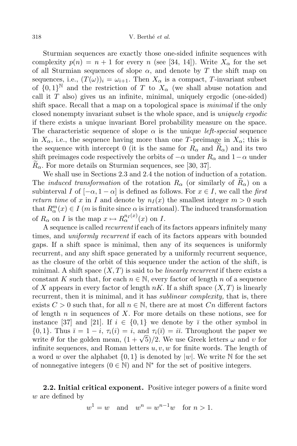Sturmian sequences are exactly those one-sided infinite sequences with complexity  $p(n) = n + 1$  for every n (see [34, 14]). Write  $X_{\alpha}$  for the set of all Sturmian sequences of slope  $\alpha$ , and denote by T the shift map on sequences, i.e.,  $(T(\omega))_i = \omega_{i+1}$ . Then  $X_\alpha$  is a compact, T-invariant subset of  ${0,1}^{\mathbb{N}}$  and the restriction of T to  $X_{\alpha}$  (we shall abuse notation and call it  $T$  also) gives us an infinite, minimal, uniquely ergodic (one-sided) shift space. Recall that a map on a topological space is *minimal* if the only closed nonempty invariant subset is the whole space, and is uniquely ergodic if there exists a unique invariant Borel probability measure on the space. The characteristic sequence of slope  $\alpha$  is the unique *left-special* sequence in  $X_{\alpha}$ , i.e., the sequence having more than one T-preimage in  $X_{\alpha}$ ; this is the sequence with intercept 0 (it is the same for  $R_{\alpha}$  and  $R_{\alpha}$ ) and its two shift preimages code respectively the orbits of  $-\alpha$  under  $R_{\alpha}$  and  $1-\alpha$  under  $R_{\alpha}$ . For more details on Sturmian sequences, see [30, 37].

We shall use in Sections 2.3 and 2.4 the notion of induction of a rotation. The *induced transformation* of the rotation  $R_{\alpha}$  (or similarly of  $R_{\alpha}$ ) on a subinterval I of  $[-\alpha, 1-\alpha]$  is defined as follows. For  $x \in I$ , we call the first return time of x in I and denote by  $n_I(x)$  the smallest integer  $m > 0$  such that  $R_{\alpha}^{m}(x) \in I$  (*m* is finite since  $\alpha$  is irrational). The induced transformation of  $R_{\alpha}$  on I is the map  $x \mapsto R_{\alpha}^{n_I(x)}(x)$  on I.

A sequence is called recurrent if each of its factors appears infinitely many times, and *uniformly recurrent* if each of its factors appears with bounded gaps. If a shift space is minimal, then any of its sequences is uniformly recurrent, and any shift space generated by a uniformly recurrent sequence, as the closure of the orbit of this sequence under the action of the shift, is minimal. A shift space  $(X, T)$  is said to be *linearly recurrent* if there exists a constant K such that, for each  $n \in \mathbb{N}$ , every factor of length n of a sequence of X appears in every factor of length  $nK$ . If a shift space  $(X, T)$  is linearly recurrent, then it is minimal, and it has *sublinear complexity*, that is, there exists  $C > 0$  such that, for all  $n \in \mathbb{N}$ , there are at most  $C_n$  different factors of length  $n$  in sequences of  $X$ . For more details on these notions, see for instance [37] and [21]. If  $i \in \{0,1\}$  we denote by  $\overline{i}$  the other symbol in  $\{0, 1\}$ . Thus  $\overline{i} = 1 - i$ ,  $\tau_i(i) = i$ , and  $\tau_i(\overline{i}) = i\overline{i}$ . Throughout the paper we write  $\theta$  for the golden mean,  $(1 + \sqrt{5})/2$ . We use Greek letters  $\omega$  and  $\nu$  for infinite sequences, and Roman letters  $u, v, w$  for finite words. The length of a word w over the alphabet  $\{0, 1\}$  is denoted by  $|w|$ . We write N for the set of nonnegative integers  $(0 \in \mathbb{N})$  and  $\mathbb{N}^*$  for the set of positive integers.

2.2. Initial critical exponent. Positive integer powers of a finite word w are defined by

 $w^1 = w$  and  $w^n = w^{n-1}w$  for  $n > 1$ .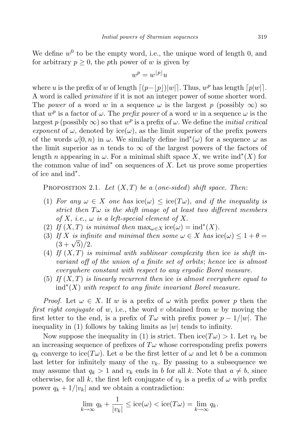We define  $w^0$  to be the empty word, i.e., the unique word of length 0, and for arbitrary  $p \geq 0$ , the pth power of w is given by

$$
w^p = w^{\lfloor p \rfloor} u
$$

where u is the prefix of w of length  $\lceil (p - \lfloor p \rfloor)|w| \rceil$ . Thus,  $w^p$  has length  $\lceil p|w| \rceil$ . A word is called primitive if it is not an integer power of some shorter word. The power of a word w in a sequence  $\omega$  is the largest p (possibly  $\infty$ ) so that  $w^p$  is a factor of  $\omega$ . The *prefix power* of a word w in a sequence  $\omega$  is the largest p (possibly  $\infty$ ) so that  $w^p$  is a prefix of  $\omega$ . We define the *initial critical* exponent of  $\omega$ , denoted by ice( $\omega$ ), as the limit superior of the prefix powers of the words  $\omega[0,n)$  in  $\omega$ . We similarly define  $ind^*(\omega)$  for a sequence  $\omega$  as the limit superior as n tends to  $\infty$  of the largest powers of the factors of length *n* appearing in  $\omega$ . For a minimal shift space X, we write  $\text{ind}^*(X)$  for the common value of  $\text{ind}^*$  on sequences of X. Let us prove some properties of ice and ind<sup>∗</sup> .

PROPOSITION 2.1. Let  $(X, T)$  be a (one-sided) shift space. Then:

- (1) For any  $\omega \in X$  one has  $\mathrm{ice}(\omega) \leq \mathrm{ice}(T\omega)$ , and if the inequality is strict then  $T\omega$  is the shift image of at least two different members of X, i.e.,  $\omega$  is a left-special element of X.
- (2) If  $(X, T)$  is minimal then  $\max_{\omega \in X}$  ice $(\omega) = \text{ind}^*(X)$ .
- (3) If X is infinite and minimal then some  $\omega \in X$  has  $\mathrm{ice}(\omega) \leq 1 + \theta =$  $\frac{(3+\sqrt{5})}{2}$ .
- (4) If  $(X, T)$  is minimal with sublinear complexity then ice is shift invariant off of the union of a finite set of orbits; hence ice is almost everywhere constant with respect to any ergodic Borel measure.
- (5) If  $(X, T)$  is linearly recurrent then ice is almost everywhere equal to  $\text{ind}^*(X)$  with respect to any finite invariant Borel measure.

*Proof.* Let  $\omega \in X$ . If w is a prefix of  $\omega$  with prefix power p then the first right conjugate of w, i.e., the word v obtained from w by moving the first letter to the end, is a prefix of  $T\omega$  with prefix power  $p-1/|w|$ . The inequality in (1) follows by taking limits as  $|w|$  tends to infinity.

Now suppose the inequality in (1) is strict. Then  $\mathrm{ice}(T\omega) > 1$ . Let  $v_k$  be an increasing sequence of prefixes of  $T\omega$  whose corresponding prefix powers  $q_k$  converge to ice(T $\omega$ ). Let a be the first letter of  $\omega$  and let b be a common last letter for infinitely many of the  $v_k$ . By passing to a subsequence we may assume that  $q_k > 1$  and  $v_k$  ends in b for all k. Note that  $a \neq b$ , since otherwise, for all k, the first left conjugate of  $v_k$  is a prefix of  $\omega$  with prefix power  $q_k + 1/|v_k|$  and we obtain a contradiction:

$$
\lim_{k \to \infty} q_k + \frac{1}{|v_k|} \le \mathrm{ice}(\omega) < \mathrm{ice}(T\omega) = \lim_{k \to \infty} q_k.
$$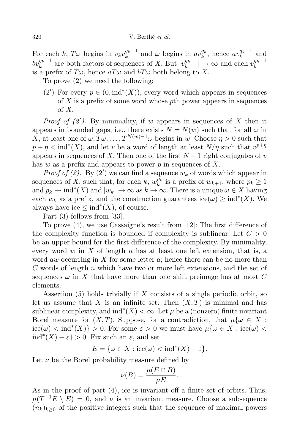For each  $k, T\omega$  begins in  $v_kv_k^{q_k-1}$  $a_k^{q_k-1}$  and  $\omega$  begins in  $av_k^{q_k}$  $k^{q_k}$ , hence  $av_k^{q_k-1}$  $\int_{k}^{q_k-1}$  and  $bv_k^{q_k-1}$  are both factors of sequences of X. But  $|v_k^{q_k-1}|$  $|k^{q_k-1}| \to \infty$  and each  $v_k^{q_k-1}$ k is a prefix of  $T\omega$ , hence  $aT\omega$  and  $bT\omega$  both belong to X.

To prove (2) we need the following:

(2') For every  $p \in (0, \text{ind}^*(X))$ , every word which appears in sequences of  $X$  is a prefix of some word whose pth power appears in sequences of X.

*Proof of*  $(2')$ *.* By minimality, if w appears in sequences of X then it appears in bounded gaps, i.e., there exists  $N = N(w)$  such that for all  $\omega$  in X, at least one of  $\omega, T\omega, \ldots, T^{N(w)-1}\omega$  begins in w. Choose  $\eta > 0$  such that  $p + \eta < \text{ind}^*(X)$ , and let v be a word of length at least  $N/\eta$  such that  $v^{p+\eta}$ appears in sequences of X. Then one of the first  $N-1$  right conjugates of v has w as a prefix and appears to power  $p$  in sequences of  $X$ .

*Proof of (2)*. By (2') we can find a sequence  $w_k$  of words which appear in sequences of X, such that, for each k,  $w_k^{p_k}$  is a prefix of  $w_{k+1}$ , where  $p_k \ge 1$ and  $p_k \to \text{ind}^*(X)$  and  $|w_k| \to \infty$  as  $k \to \infty$ . There is a unique  $\omega \in X$  having each  $w_k$  as a prefix, and the construction guarantees ice( $\omega$ ) ≥ ind<sup>\*</sup>(X). We always have ice  $\leq \text{ind}^*(X)$ , of course.

Part (3) follows from [33].

To prove (4), we use Cassaigne's result from [12]: The first difference of the complexity function is bounded if complexity is sublinear. Let  $C > 0$ be an upper bound for the first difference of the complexity. By minimality, every word w in X of length n has at least one left extension, that is, a word aw occurring in X for some letter  $a$ ; hence there can be no more than C words of length  $n$  which have two or more left extensions, and the set of sequences  $\omega$  in X that have more than one shift preimage has at most C elements.

Assertion  $(5)$  holds trivially if X consists of a single periodic orbit, so let us assume that X is an infinite set. Then  $(X, T)$  is minimal and has sublinear complexity, and  $\text{ind}^*(X) < \infty$ . Let  $\mu$  be a (nonzero) finite invariant Borel measure for  $(X, T)$ . Suppose, for a contradiction, that  $\mu\{\omega \in X:$  $\text{ice}(\omega) < \text{ind}^*(X)$  > 0. For some  $\varepsilon > 0$  we must have  $\mu\{\omega \in X : \text{ice}(\omega) <$  $\text{ind}^*(X) - \varepsilon$  > 0. Fix such an  $\varepsilon$ , and set

$$
E = \{ \omega \in X : \text{ice}(\omega) < \text{ind}^*(X) - \varepsilon \}.
$$

Let  $\nu$  be the Borel probability measure defined by

$$
\nu(B) = \frac{\mu(E \cap B)}{\mu E}.
$$

As in the proof of part (4), ice is invariant off a finite set of orbits. Thus,  $\mu(T^{-1}E \setminus E) = 0$ , and  $\nu$  is an invariant measure. Choose a subsequence  $(n_k)_{k\geq 0}$  of the positive integers such that the sequence of maximal powers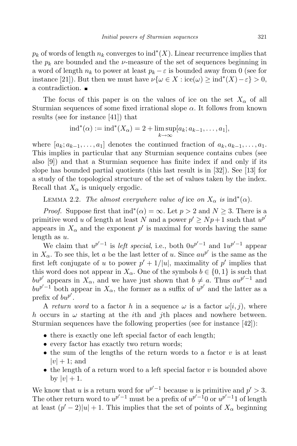$p_k$  of words of length  $n_k$  converges to  $\text{ind}^*(X)$ . Linear recurrence implies that the  $p_k$  are bounded and the *ν*-measure of the set of sequences beginning in a word of length  $n_k$  to power at least  $p_k - \varepsilon$  is bounded away from 0 (see for instance [21]). But then we must have  $\nu\{\omega \in X : \text{ice}(\omega) \ge \text{ind}^*(X) - \varepsilon\} > 0$ , a contradiction.

The focus of this paper is on the values of ice on the set  $X_{\alpha}$  of all Sturmian sequences of some fixed irrational slope  $\alpha$ . It follows from known results (see for instance [41]) that

$$
ext{ind}^*(\alpha) := \text{ind}^*(X_{\alpha}) = 2 + \limsup_{k \to \infty} [a_k; a_{k-1}, \dots, a_1],
$$

where  $[a_k; a_{k-1}, \ldots, a_1]$  denotes the continued fraction of  $a_k, a_{k-1}, \ldots, a_1$ . This implies in particular that any Sturmian sequence contains cubes (see also [9]) and that a Sturmian sequence has finite index if and only if its slope has bounded partial quotients (this last result is in [32]). See [13] for a study of the topological structure of the set of values taken by the index. Recall that  $X_{\alpha}$  is uniquely ergodic.

LEMMA 2.2. The almost everywhere value of ice on  $X_{\alpha}$  is  $\text{ind}^*(\alpha)$ .

*Proof.* Suppose first that  $\text{ind}^*(\alpha) = \infty$ . Let  $p > 2$  and  $N \geq 3$ . There is a primitive word u of length at least N and a power  $p' \geq Np + 1$  such that  $u^{p'}$ appears in  $X_{\alpha}$  and the exponent  $p'$  is maximal for words having the same length as  $u$ .

We claim that  $u^{p'-1}$  is *left special*, i.e., both  $0u^{p'-1}$  and  $1u^{p'-1}$  appear in  $X_{\alpha}$ . To see this, let a be the last letter of u. Since  $au^{p'}$  is the same as the first left conjugate of u to power  $p' + 1/|u|$ , maximality of p' implies that this word does not appear in  $X_{\alpha}$ . One of the symbols  $b \in \{0, 1\}$  is such that bup' appears in  $X_\alpha$ , and we have just shown that  $b \neq a$ . Thus  $au^{p'-1}$  and  $b u^{p'-1}$  both appear in  $X_{\alpha}$ , the former as a suffix of  $u^{p'}$  and the latter as a prefix of  $bw^{p'}$ .

A return word to a factor h in a sequence  $\omega$  is a factor  $\omega[i, j)$ , where h occurs in  $\omega$  starting at the *i*th and *j*th places and nowhere between. Sturmian sequences have the following properties (see for instance [42]):

- there is exactly one left special factor of each length;
- every factor has exactly two return words;
- the sum of the lengths of the return words to a factor  $v$  is at least  $|v| + 1$ ; and
- the length of a return word to a left special factor  $v$  is bounded above by  $|v| + 1$ .

We know that u is a return word for  $u^{p'-1}$  because u is primitive and  $p' > 3$ . The other return word to  $u^{p'-1}$  must be a prefix of  $u^{p'-1}$  or  $u^{p'-1}$  of length at least  $(p'-2)|u|+1$ . This implies that the set of points of  $X_{\alpha}$  beginning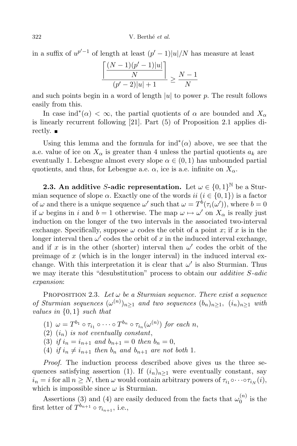in a suffix of  $u^{p'-1}$  of length at least  $(p'-1)|u|/N$  has measure at least

$$
\frac{\left\lceil \frac{(N-1)(p'-1)|u|}{N} \right\rceil}{(p'-2)|u|+1} \ge \frac{N-1}{N}
$$

and such points begin in a word of length  $|u|$  to power p. The result follows easily from this.

In case ind<sup>\*</sup>( $\alpha$ ) <  $\infty$ , the partial quotients of  $\alpha$  are bounded and  $X_{\alpha}$ is linearly recurrent following [21]. Part (5) of Proposition 2.1 applies directly.  $\blacksquare$ 

Using this lemma and the formula for  $\text{ind}^*(\alpha)$  above, we see that the a.e. value of ice on  $X_{\alpha}$  is greater than 4 unless the partial quotients  $a_k$  are eventually 1. Lebesgue almost every slope  $\alpha \in (0,1)$  has unbounded partial quotients, and thus, for Lebesgue a.e.  $\alpha$ , ice is a.e. infinite on  $X_{\alpha}$ .

**2.3.** An additive S-adic representation. Let  $\omega \in \{0,1\}^{\mathbb{N}}$  be a Sturmian sequence of slope  $\alpha$ . Exactly one of the words ii  $(i \in \{0, 1\})$  is a factor of  $\omega$  and there is a unique sequence  $\omega'$  such that  $\omega = T^b(\tau_i(\omega'))$ , where  $b = 0$ if  $\omega$  begins in i and  $b = 1$  otherwise. The map  $\omega \mapsto \omega'$  on  $X_{\alpha}$  is really just induction on the longer of the two intervals in the associated two-interval exchange. Specifically, suppose  $\omega$  codes the orbit of a point x; if x is in the longer interval then  $\omega'$  codes the orbit of x in the induced interval exchange, and if x is in the other (shorter) interval then  $\omega'$  codes the orbit of the preimage of  $x$  (which is in the longer interval) in the induced interval exchange. With this interpretation it is clear that  $\omega'$  is also Sturmian. Thus we may iterate this "desubstitution" process to obtain our *additive S-adic* expansion:

PROPOSITION 2.3. Let  $\omega$  be a Sturmian sequence. There exist a sequence of Sturmian sequences  $(\omega^{(n)})_{n\geq 1}$  and two sequences  $(b_n)_{n\geq 1}$ ,  $(i_n)_{n\geq 1}$  with values in {0, 1} such that

- $(1)$   $\omega = T^{b_1} \circ \tau_{i_1} \circ \cdots \circ T^{b_n} \circ \tau_{i_n}(\omega^{(n)})$  for each n,
- (2)  $(i_n)$  is not eventually constant,

(3) if  $i_n = i_{n+1}$  and  $b_{n+1} = 0$  then  $b_n = 0$ ,

(4) if  $i_n \neq i_{n+1}$  then  $b_n$  and  $b_{n+1}$  are not both 1.

Proof. The induction process described above gives us the three sequences satisfying assertion (1). If  $(i_n)_{n\geq 1}$  were eventually constant, say  $i_n = i$  for all  $n \geq N$ , then  $\omega$  would contain arbitrary powers of  $\tau_{i_1} \circ \cdots \circ \tau_{i_N}(i)$ , which is impossible since  $\omega$  is Sturmian.

Assertions (3) and (4) are easily deduced from the facts that  $\omega_0^{(n)}$  $\int_0^{(n)}$  is the first letter of  $T^{b_{n+1}} \circ \tau_{i_{n+1}}$ , i.e.,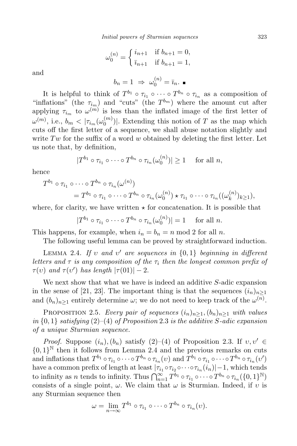$$
\omega_0^{(n)} = \begin{cases} i_{n+1} & \text{if } b_{n+1} = 0, \\ \bar{i}_{n+1} & \text{if } b_{n+1} = 1, \end{cases}
$$

and

$$
b_n = 1 \Rightarrow \omega_0^{(n)} = \bar{\imath}_n.
$$

It is helpful to think of  $T^{b_1} \circ \tau_{i_1} \circ \cdots \circ T^{b_n} \circ \tau_{i_n}$  as a composition of "inflations" (the  $\tau_{i_m}$ ) and "cuts" (the  $T^{b_m}$ ) where the amount cut after applying  $\tau_{i_m}$  to  $\omega^{(m)}$  is less than the inflated image of the first letter of  $\omega^{(m)}, \text{ i.e., } b_m < |\tau_{i_m}(\omega_0^{(m)})|$  $\binom{m}{0}$ . Extending this notion of T as the map which cuts off the first letter of a sequence, we shall abuse notation slightly and write  $Tw$  for the suffix of a word w obtained by deleting the first letter. Let us note that, by definition,

$$
|T^{b_1} \circ \tau_{i_1} \circ \cdots \circ T^{b_n} \circ \tau_{i_n}(\omega_0^{(n)})| \ge 1 \quad \text{ for all } n,
$$

hence

$$
T^{b_1} \circ \tau_{i_1} \circ \cdots \circ T^{b_n} \circ \tau_{i_n}(\omega^{(n)})
$$
  
=  $T^{b_1} \circ \tau_{i_1} \circ \cdots \circ T^{b_n} \circ \tau_{i_n}(\omega^{(n)}_0) \star \tau_{i_1} \circ \cdots \circ \tau_{i_n}((\omega^{(n)}_k)_{k \geq 1}),$ 

where, for clarity, we have written  $\star$  for concatenation. It is possible that

$$
|T^{b_1} \circ \tau_{i_1} \circ \cdots \circ T^{b_n} \circ \tau_{i_n}(\omega_0^{(n)})| = 1 \quad \text{ for all } n.
$$

This happens, for example, when  $i_n = b_n = n \mod 2$  for all n.

The following useful lemma can be proved by straightforward induction.

LEMMA 2.4. If v and v' are sequences in  $\{0,1\}$  beginning in different letters and  $\tau$  is any composition of the  $\tau_i$  then the longest common prefix of  $\tau(v)$  and  $\tau(v')$  has length  $|\tau(01)| - 2$ .

We next show that what we have is indeed an additive S-adic expansion in the sense of [21, 23]. The important thing is that the sequences  $(i_n)_{n\geq 1}$ and  $(b_n)_{n\geq 1}$  entirely determine  $\omega$ ; we do not need to keep track of the  $\omega^{(n)}$ .

PROPOSITION 2.5. Every pair of sequences  $(i_n)_{n\geq 1}$ ,  $(b_n)_{n\geq 1}$  with values in  $\{0,1\}$  satisfying  $(2)$ – $(4)$  of Proposition 2.3 is the additive S-adic expansion of a unique Sturmian sequence.

Proof. Suppose  $(i_n)$ ,  $(b_n)$  satisfy  $(2)$ – $(4)$  of Proposition 2.3. If  $v, v' \in$  $\{0,1\}^{\mathbb{N}}$  then it follows from Lemma 2.4 and the previous remarks on cuts and inflations that  $T^{b_1} \circ \tau_{i_1} \circ \cdots \circ T^{b_n} \circ \tau_{i_n}(v)$  and  $T^{b_1} \circ \tau_{i_1} \circ \cdots \circ T^{b_n} \circ \tau_{i_n}(v')$ have a common prefix of length at least  $|\tau_{i_1} \circ \tau_{i_2} \circ \cdots \circ \tau_{i_n}(i_n)| - 1$ , which tends to infinity as *n* tends to infinity. Thus  $\bigcap_{n=1}^{\infty} T^{b_1} \circ \tau_{i_1} \circ \cdots \circ T^{b_n} \circ \tau_{i_n} (\{0,1\}^{\mathbb{N}})$ consists of a single point,  $\omega$ . We claim that  $\omega$  is Sturmian. Indeed, if v is any Sturmian sequence then

$$
\omega = \lim_{n \to \infty} T^{b_1} \circ \tau_{i_1} \circ \cdots \circ T^{b_n} \circ \tau_{i_n}(v).
$$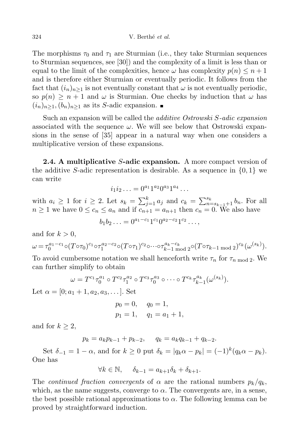The morphisms  $\tau_0$  and  $\tau_1$  are Sturmian (i.e., they take Sturmian sequences to Sturmian sequences, see [30]) and the complexity of a limit is less than or equal to the limit of the complexities, hence  $\omega$  has complexity  $p(n) \leq n+1$ and is therefore either Sturmian or eventually periodic. It follows from the fact that  $(i_n)_{n\geq 1}$  is not eventually constant that  $\omega$  is not eventually periodic, so  $p(n) \geq n+1$  and  $\omega$  is Sturmian. One checks by induction that  $\omega$  has  $(i_n)_{n\geq 1}$ ,  $(b_n)_{n\geq 1}$  as its S-adic expansion.

Such an expansion will be called the additive Ostrowski S-adic expansion associated with the sequence  $\omega$ . We will see below that Ostrowski expansions in the sense of [35] appear in a natural way when one considers a multiplicative version of these expansions.

2.4. A multiplicative S-adic expansion. A more compact version of the additive S-adic representation is desirable. As a sequence in  $\{0, 1\}$  we can write

$$
i_1 i_2 \ldots = 0^{a_1} 1^{a_2} 0^{a_3} 1^{a_4} \ldots
$$

with  $a_i \geq 1$  for  $i \geq 2$ . Let  $s_k = \sum_{j=1}^k a_j$  and  $c_k = \sum_{n=s_{k-1}+1}^{s_k} b_n$ . For all  $n \geq 1$  we have  $0 \leq c_n \leq a_n$  and if  $c_{n+1} = a_{n+1}$  then  $c_n = 0$ . We also have

$$
b_1b_2\ldots = 0^{a_1-c_1}1^{c_1}0^{a_2-c_2}1^{c_2}\ldots,
$$

and for  $k > 0$ ,

$$
\omega = \tau_0^{a_1 - c_1} \circ (T \circ \tau_0)^{c_1} \circ \tau_1^{a_2 - c_2} \circ (T \circ \tau_1)^{c_2} \circ \cdots \circ \tau_{k-1}^{a_k - c_k} \circ (T \circ \tau_{k-1 \mod 2})^{c_k} (\omega^{(s_k)}).
$$

To avoid cumbersome notation we shall henceforth write  $\tau_n$  for  $\tau_{n \mod 2}$ . We can further simplify to obtain

$$
\omega = T^{c_1} \tau_0^{a_1} \circ T^{c_2} \tau_1^{a_2} \circ T^{c_3} \tau_0^{a_3} \circ \cdots \circ T^{c_k} \tau_{k-1}^{a_k} (\omega^{(s_k)}).
$$

Let  $\alpha = [0; a_1 + 1, a_2, a_3, \dots]$ . Set

$$
p_0 = 0,
$$
  $q_0 = 1,$   
 $p_1 = 1,$   $q_1 = a_1 + 1,$ 

and for  $k \geq 2$ ,

 $p_k = a_k p_{k-1} + p_{k-2}, \quad q_k = a_k q_{k-1} + q_{k-2}.$ 

Set  $\delta_{-1} = 1 - \alpha$ , and for  $k \ge 0$  put  $\delta_k = |q_k \alpha - p_k| = (-1)^k (q_k \alpha - p_k)$ . One has

$$
\forall k \in \mathbb{N}, \quad \delta_{k-1} = a_{k+1} \delta_k + \delta_{k+1}.
$$

The *continued fraction convergents* of  $\alpha$  are the rational numbers  $p_k/q_k$ , which, as the name suggests, converge to  $\alpha$ . The convergents are, in a sense, the best possible rational approximations to  $\alpha$ . The following lemma can be proved by straightforward induction.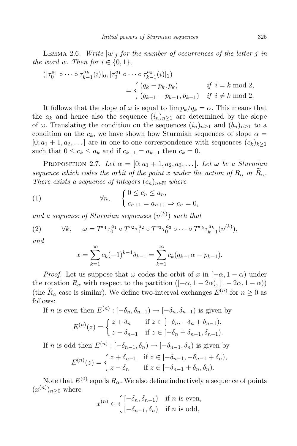LEMMA 2.6. Write  $|w|_i$  for the number of occurrences of the letter j in the word w. Then for  $i \in \{0,1\}$ ,

$$
(|\tau_0^{a_1} \circ \cdots \circ \tau_{k-1}^{a_k}(i)|_0, |\tau_0^{a_1} \circ \cdots \circ \tau_{k-1}^{a_k}(i)|_1)
$$
  
= 
$$
\begin{cases} (q_k - p_k, p_k) & \text{if } i = k \text{ mod } 2, \\ (q_{k-1} - p_{k-1}, p_{k-1}) & \text{if } i \neq k \text{ mod } 2. \end{cases}
$$

It follows that the slope of  $\omega$  is equal to  $\lim p_k/q_k = \alpha$ . This means that the  $a_k$  and hence also the sequence  $(i_n)_{n\geq 1}$  are determined by the slope of  $\omega$ . Translating the condition on the sequences  $(i_n)_{n>1}$  and  $(b_n)_{n>1}$  to a condition on the  $c_k$ , we have shown how Sturmian sequences of slope  $\alpha =$  $[0; a_1 + 1, a_2, \ldots]$  are in one-to-one correspondence with sequences  $(c_k)_{k \geq 1}$ such that  $0 \leq c_k \leq a_k$  and if  $c_{k+1} = a_{k+1}$  then  $c_k = 0$ .

PROPOSITION 2.7. Let  $\alpha = [0; a_1 + 1, a_2, a_3, \ldots]$ . Let  $\omega$  be a Sturmian sequence which codes the orbit of the point x under the action of  $R_{\alpha}$  or  $R_{\alpha}$ . There exists a sequence of integers  $(c_n)_{n\in\mathbb{N}}$  where

(1) 
$$
\forall n, \quad \begin{cases} 0 \leq c_n \leq a_n, \\ c_{n+1} = a_{n+1} \Rightarrow c_n = 0, \end{cases}
$$

and a sequence of Sturmian sequences  $(v^{(k)})$  such that

(2) 
$$
\forall k, \quad \omega = T^{c_1} \tau_0^{a_1} \circ T^{c_2} \tau_1^{a_2} \circ T^{c_3} \tau_0^{a_3} \circ \cdots \circ T^{c_k} \tau_{k-1}^{a_k} (v^{(k)}),
$$

and

$$
x = \sum_{k=1}^{\infty} c_k (-1)^{k-1} \delta_{k-1} = \sum_{k=1}^{\infty} c_k (q_{k-1} \alpha - p_{k-1}).
$$

*Proof.* Let us suppose that  $\omega$  codes the orbit of x in  $[-\alpha, 1-\alpha)$  under the rotation  $R_{\alpha}$  with respect to the partition  $([-\alpha, 1-2\alpha), [1-2\alpha, 1-\alpha))$ (the  $R_{\alpha}$  case is similar). We define two-interval exchanges  $E^{(n)}$  for  $n \geq 0$  as follows:

If *n* is even then  $E^{(n)}: [-\delta_n, \delta_{n-1}) \to [-\delta_n, \delta_{n-1})$  is given by  $E^{(n)}(z) = \begin{cases} z + \delta_n & \text{if } z \in [-\delta_n, -\delta_n + \delta_{n-1}), \\ \vdots & \text{if } z = 0 \end{cases}$  $z - \delta_{n-1}$  if  $z \in [-\delta_n + \delta_{n-1}, \delta_{n-1}).$ 

If *n* is odd then  $E^{(n)}$ :  $[-\delta_{n-1}, \delta_n) \to [-\delta_{n-1}, \delta_n)$  is given by

$$
E^{(n)}(z) = \begin{cases} z + \delta_{n-1} & \text{if } z \in [-\delta_{n-1}, -\delta_{n-1} + \delta_n), \\ z - \delta_n & \text{if } z \in [-\delta_{n-1} + \delta_n, \delta_n). \end{cases}
$$

Note that  $E^{(0)}$  equals  $R_{\alpha}$ . We also define inductively a sequence of points  $(x^{(n)})_{n\geq 0}$  where

$$
x^{(n)} \in \begin{cases} \left[ -\delta_n, \delta_{n-1} \right) & \text{if } n \text{ is even,} \\ \left[ -\delta_{n-1}, \delta_n \right) & \text{if } n \text{ is odd,} \end{cases}
$$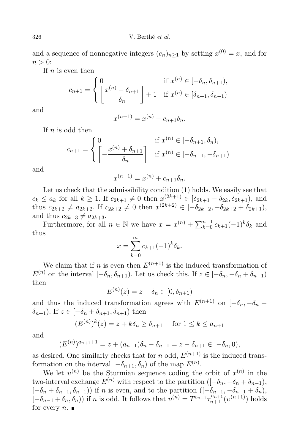and a sequence of nonnegative integers  $(c_n)_{n\geq 1}$  by setting  $x^{(0)} = x$ , and for  $n > 0$ :

If  $n$  is even then

$$
c_{n+1} = \begin{cases} 0 & \text{if } x^{(n)} \in [-\delta_n, \delta_{n+1}), \\ \left\lfloor \frac{x^{(n)} - \delta_{n+1}}{\delta_n} \right\rfloor + 1 & \text{if } x^{(n)} \in [\delta_{n+1}, \delta_{n-1}) \end{cases}
$$

and

$$
x^{(n+1)} = x^{(n)} - c_{n+1} \delta_n.
$$

If  $n$  is odd then

$$
c_{n+1} = \begin{cases} 0 & \text{if } x^{(n)} \in [-\delta_{n+1}, \delta_n), \\ \left[ -\frac{x^{(n)} + \delta_{n+1}}{\delta_n} \right] & \text{if } x^{(n)} \in [-\delta_{n-1}, -\delta_{n+1}) \end{cases}
$$

and

$$
x^{(n+1)} = x^{(n)} + c_{n+1} \delta_n.
$$

Let us check that the admissibility condition (1) holds. We easily see that  $c_k \le a_k$  for all  $k \ge 1$ . If  $c_{2k+1} \ne 0$  then  $x^{(2k+1)} \in [\delta_{2k+1} - \delta_{2k}, \delta_{2k+1}),$  and thus  $c_{2k+2} \neq a_{2k+2}$ . If  $c_{2k+2} \neq 0$  then  $x^{(2k+2)} \in [-\delta_{2k+2}, -\delta_{2k+2} + \delta_{2k+1}),$ and thus  $c_{2k+3} \neq a_{2k+3}$ .

Furthermore, for all  $n \in \mathbb{N}$  we have  $x = x^{(n)} + \sum_{k=0}^{n-1} c_{k+1}(-1)^k \delta_k$  and thus

$$
x = \sum_{k=0}^{\infty} c_{k+1} (-1)^k \delta_k.
$$

We claim that if n is even then  $E^{(n+1)}$  is the induced transformation of  $E^{(n)}$  on the interval  $[-\delta_n, \delta_{n+1})$ . Let us check this. If  $z \in [-\delta_n, -\delta_n + \delta_{n+1})$ then

$$
E^{(n)}(z) = z + \delta_n \in [0, \delta_{n+1})
$$

and thus the induced transformation agrees with  $E^{(n+1)}$  on  $[-\delta_n, -\delta_n +$  $\delta_{n+1}$ ). If  $z \in [-\delta_n + \delta_{n+1}, \delta_{n+1})$  then

$$
(E^{(n)})^k(z) = z + k\delta_n \ge \delta_{n+1} \quad \text{for } 1 \le k \le a_{n+1}
$$

and

$$
(E^{(n)})^{a_{n+1}+1} = z + (a_{n+1})\delta_n - \delta_{n-1} = z - \delta_{n+1} \in [-\delta_n, 0),
$$

as desired. One similarly checks that for n odd,  $E^{(n+1)}$  is the induced transformation on the interval  $[-\delta_{n+1}, \delta_n]$  of the map  $E^{(n)}$ .

We let  $v^{(n)}$  be the Sturmian sequence coding the orbit of  $x^{(n)}$  in the two-interval exchange  $E^{(n)}$  with respect to the partition  $([-\delta_n, -\delta_n + \delta_{n-1}),$  $[-\delta_n + \delta_{n-1}, \delta_{n-1})$  if n is even, and to the partition  $([-\delta_{n-1}, -\delta_{n-1} + \delta_n),$  $\left[-\delta_{n-1} + \delta_n, \delta_n\right)$  if n is odd. It follows that  $v^{(n)} = T^{c_{n+1}} \tau_{n+1}^{a_{n+1}}(v^{(n+1)})$  holds for every  $n.$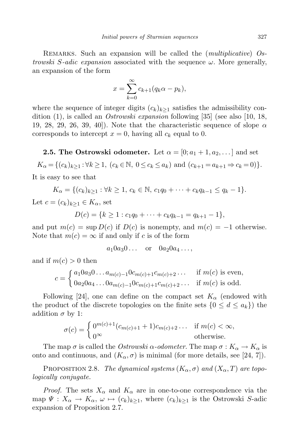REMARKS. Such an expansion will be called the *(multiplicative)* Ostrowski S-adic expansion associated with the sequence  $\omega$ . More generally, an expansion of the form

$$
x = \sum_{k=0}^{\infty} c_{k+1} (q_k \alpha - p_k),
$$

where the sequence of integer digits  $(c_k)_{k\geq 1}$  satisfies the admissibility condition  $(1)$ , is called an *Ostrowski expansion* following [35] (see also [10, 18, 19, 28, 29, 26, 39, 40. Note that the characteristic sequence of slope  $\alpha$ corresponds to intercept  $x = 0$ , having all  $c_k$  equal to 0.

**2.5. The Ostrowski odometer.** Let  $\alpha = [0; a_1 + 1, a_2, \dots]$  and set

 $K_{\alpha} = \{(c_k)_{k \geq 1} : \forall k \geq 1, (c_k \in \mathbb{N}, 0 \leq c_k \leq a_k) \text{ and } (c_{k+1} = a_{k+1} \Rightarrow c_k = 0)\}.$ It is easy to see that

$$
K_{\alpha} = \{(c_k)_{k \geq 1} : \forall k \geq 1, c_k \in \mathbb{N}, c_1 q_0 + \cdots + c_k q_{k-1} \leq q_k - 1\}.
$$

Let  $c = (c_k)_{k\geq 1} \in K_\alpha$ , set

$$
D(c) = \{k \ge 1 : c_1q_0 + \cdots + c_kq_{k-1} = q_{k+1} - 1\},\
$$

and put  $m(c) = \sup D(c)$  if  $D(c)$  is nonempty, and  $m(c) = -1$  otherwise. Note that  $m(c) = \infty$  if and only if c is of the form

$$
a_1 0 a_3 0 \ldots \quad \text{or} \quad 0 a_2 0 a_4 \ldots,
$$

and if  $m(c) > 0$  then

$$
c = \begin{cases} a_1 0a_3 0 \dots a_{m(c)-1} 0c_{m(c)+1} c_{m(c)+2} \dots & \text{if } m(c) \text{ is even,} \\ 0a_2 0a_4 \dots 0a_{m(c)-1} 0c_{m(c)+1} c_{m(c)+2} \dots & \text{if } m(c) \text{ is odd.} \end{cases}
$$

Following [24], one can define on the compact set  $K_{\alpha}$  (endowed with the product of the discrete topologies on the finite sets  $\{0 \le d \le a_k\}$  the addition  $\sigma$  by 1:

$$
\sigma(c) = \begin{cases} 0^{m(c)+1} (c_{m(c)+1} + 1) c_{m(c)+2} \dots & \text{if } m(c) < \infty, \\ 0^{\infty} & \text{otherwise.} \end{cases}
$$

The map  $\sigma$  is called the *Ostrowski*  $\alpha$ -odometer. The map  $\sigma : K_{\alpha} \to K_{\alpha}$  is onto and continuous, and  $(K_{\alpha}, \sigma)$  is minimal (for more details, see [24, 7]).

PROPOSITION 2.8. The dynamical systems  $(K_{\alpha}, \sigma)$  and  $(X_{\alpha}, T)$  are topologically conjugate.

*Proof.* The sets  $X_{\alpha}$  and  $K_{\alpha}$  are in one-to-one correspondence via the map  $\Psi: X_{\alpha} \to K_{\alpha}, \omega \mapsto (c_k)_{k\geq 1}$ , where  $(c_k)_{k\geq 1}$  is the Ostrowski S-adic expansion of Proposition 2.7.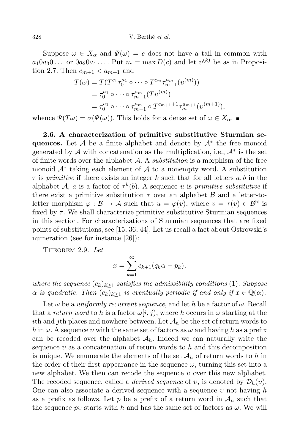Suppose  $\omega \in X_{\alpha}$  and  $\Psi(\omega) = c$  does not have a tail in common with  $a_1 0 a_3 0 \ldots$  or  $0 a_2 0 a_4 \ldots$ . Put  $m = \max D(c)$  and let  $v^{(k)}$  be as in Proposition 2.7. Then  $c_{m+1} < a_{m+1}$  and

$$
T(\omega) = T(T^{c_1} \tau_0^{a_1} \circ \cdots \circ T^{c_m} \tau_{m-1}^{a_m} (v^{(m)}))
$$
  
=  $\tau_0^{a_1} \circ \cdots \circ \tau_{m-1}^{a_m} (Tv^{(m)})$   
=  $\tau_0^{a_1} \circ \cdots \circ \tau_{m-1}^{a_m} \circ T^{c_{m+1}+1} \tau_m^{a_{m+1}} (v^{(m+1)}),$ 

whence  $\Psi(T\omega) = \sigma(\Psi(\omega))$ . This holds for a dense set of  $\omega \in X_\alpha$ .

2.6. A characterization of primitive substitutive Sturmian sequences. Let  $\mathcal A$  be a finite alphabet and denote by  $\mathcal A^*$  the free monoid generated by  $\mathcal A$  with concatenation as the multiplication, i.e.,  $\mathcal A^*$  is the set of finite words over the alphabet  $A$ . A *substitution* is a morphism of the free monoid  $\mathcal{A}^*$  taking each element of  $\mathcal A$  to a nonempty word. A substitution  $\tau$  is primitive if there exists an integer k such that for all letters  $a, b$  in the alphabet A, a is a factor of  $\tau^k(b)$ . A sequence u is primitive substitutive if there exist a primitive substitution  $\tau$  over an alphabet  $\beta$  and a letter-toletter morphism  $\varphi : \mathcal{B} \to \mathcal{A}$  such that  $u = \varphi(v)$ , where  $v = \tau(v) \in \mathcal{B}^{\mathbb{N}}$  is fixed by  $\tau$ . We shall characterize primitive substitutive Sturmian sequences in this section. For characterizations of Sturmian sequences that are fixed points of substitutions, see [15, 36, 44]. Let us recall a fact about Ostrowski's numeration (see for instance [26]):

THEOREM 2.9. Let

$$
x = \sum_{k=1}^{\infty} c_{k+1} (q_k \alpha - p_k),
$$

where the sequence  $(c_k)_{k\geq 1}$  satisfies the admissibility conditions (1). Suppose  $\alpha$  is quadratic. Then  $(c_k)_{k>1}$  is eventually periodic if and only if  $x \in \mathbb{Q}(\alpha)$ .

Let  $\omega$  be a *uniformly recurrent sequence*, and let h be a factor of  $\omega$ . Recall that a return word to h is a factor  $\omega[i, j]$ , where h occurs in  $\omega$  starting at the *i*th and *j*th places and nowhere between. Let  $A_h$  be the set of return words to h in  $\omega$ . A sequence v with the same set of factors as  $\omega$  and having h as a prefix can be recoded over the alphabet  $A<sub>h</sub>$ . Indeed we can naturally write the sequence  $v$  as a concatenation of return words to h and this decomposition is unique. We enumerate the elements of the set  $\mathcal{A}_h$  of return words to h in the order of their first appearance in the sequence  $\omega$ , turning this set into a new alphabet. We then can recode the sequence  $\nu$  over this new alphabet. The recoded sequence, called a *derived sequence* of v, is denoted by  $\mathcal{D}_h(v)$ . One can also associate a derived sequence with a sequence  $v$  not having  $h$ as a prefix as follows. Let p be a prefix of a return word in  $\mathcal{A}_h$  such that the sequence pv starts with h and has the same set of factors as  $\omega$ . We will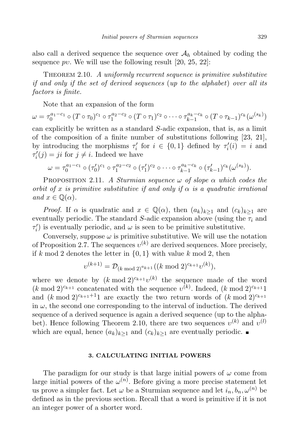also call a derived sequence the sequence over  $\mathcal{A}_h$  obtained by coding the sequence pv. We will use the following result  $[20, 25, 22]$ :

THEOREM 2.10. A uniformly recurrent sequence is primitive substitutive if and only if the set of derived sequences (up to the alphabet) over all its factors is finite.

Note that an expansion of the form

$$
\omega = \tau_0^{a_1-c_1} \circ (T \circ \tau_0)^{c_1} \circ \tau_1^{a_2-c_2} \circ (T \circ \tau_1)^{c_2} \circ \cdots \circ \tau_{k-1}^{a_k-c_k} \circ (T \circ \tau_{k-1})^{c_k} (\omega^{(s_k)})
$$

can explicitly be written as a standard S-adic expansion, that is, as a limit of the composition of a finite number of substitutions following [23, 21], by introducing the morphisms  $\tau'_i$  for  $i \in \{0,1\}$  defined by  $\tau'_i(i) = i$  and  $\tau'_i(j) = ji$  for  $j \neq i$ . Indeed we have

$$
\omega = \tau_0^{a_1-c_1} \circ (\tau_0')^{c_1} \circ \tau_1^{a_2-c_2} \circ (\tau_1')^{c_2} \circ \cdots \circ \tau_{k-1}^{a_k-c_k} \circ (\tau_{k-1}')^{c_k}(\omega^{(s_k)}).
$$

PROPOSITION 2.11. A Sturmian sequence  $\omega$  of slope  $\alpha$  which codes the orbit of x is primitive substitutive if and only if  $\alpha$  is a quadratic irrational and  $x \in \mathbb{Q}(\alpha)$ .

*Proof.* If  $\alpha$  is quadratic and  $x \in \mathbb{Q}(\alpha)$ , then  $(a_k)_{k>1}$  and  $(c_k)_{k>1}$  are eventually periodic. The standard S-adic expansion above (using the  $\tau_i$  and  $\tau'_{i}$ ) is eventually periodic, and  $\omega$  is seen to be primitive substitutive.

Conversely, suppose  $\omega$  is primitive substitutive. We will use the notation of Proposition 2.7. The sequences  $v^{(k)}$  are derived sequences. More precisely, if k mod 2 denotes the letter in  $\{0, 1\}$  with value k mod 2, then

$$
v^{(k+1)} = \mathcal{D}_{(k \bmod 2)^{a_{k+1}}}((k \bmod 2)^{c_{k+1}} v^{(k)}),
$$

where we denote by  $(k \mod 2)^{c_{k+1}} v^{(k)}$  the sequence made of the word  $(k \mod 2)^{c_{k+1}}$  concatenated with the sequence  $v^{(k)}$ . Indeed,  $(k \mod 2)^{c_{k+1}}1$ and  $(k \mod 2)^{c_{k+1}+1}$  are exactly the two return words of  $(k \mod 2)^{c_{k+1}}$ in  $\omega$ , the second one corresponding to the interval of induction. The derived sequence of a derived sequence is again a derived sequence (up to the alphabet). Hence following Theorem 2.10, there are two sequences  $v^{(k)}$  and  $v^{(l)}$ which are equal, hence  $(a_k)_{k>1}$  and  $(c_k)_{k>1}$  are eventually periodic. ■

## **3. CALCULATING INITIAL POWERS**

The paradigm for our study is that large initial powers of  $\omega$  come from large initial powers of the  $\omega^{(n)}$ . Before giving a more precise statement let us prove a simpler fact. Let  $\omega$  be a Sturmian sequence and let  $i_n, b_n, \omega^{(n)}$  be defined as in the previous section. Recall that a word is primitive if it is not an integer power of a shorter word.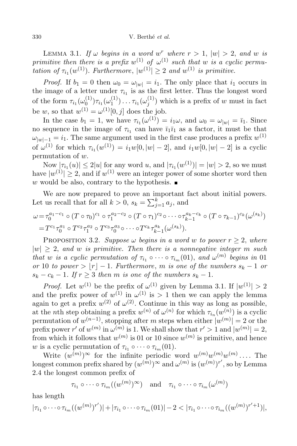LEMMA 3.1. If  $\omega$  begins in a word  $w^r$  where  $r > 1$ ,  $|w| > 2$ , and  $w$  is primitive then there is a prefix  $w^{(1)}$  of  $\omega^{(1)}$  such that w is a cyclic permutation of  $\tau_{i_1}(w^{(1)})$ . Furthermore,  $|w^{(1)}| \geq 2$  and  $w^{(1)}$  is primitive.

*Proof.* If  $b_1 = 0$  then  $\omega_0 = \omega_{|w|} = i_1$ . The only place that  $i_1$  occurs in the image of a letter under  $\tau_{i_1}$  is as the first letter. Thus the longest word of the form  $\tau_{i_1}(\omega_0^{(1)})$  $_{0}^{(1)})\tau_{i_{1}}(\omega_{1}^{(1)}$  $\mathcal{I}_1^{(1)})\ldots \tau_{i_1}(\omega_j^{(1)})$  $j^{(1)}$ ) which is a prefix of w must in fact be w, so that  $w^{(1)} = \omega^{(1)}[0, j]$  does the job.

In the case  $b_1 = 1$ , we have  $\tau_{i_1}(\omega^{(1)}) = i_1\omega$ , and  $\omega_0 = \omega_{|w|} = \bar{i}_1$ . Since no sequence in the image of  $\tau_{i_1}$  can have  $\bar{i}_1\bar{i}_1$  as a factor, it must be that  $\omega_{|w|-1} = i_1$ . The same argument used in the first case produces a prefix  $w^{(1)}$ of  $\omega^{(1)}$  for which  $\tau_{i_1}(w^{(1)}) = i_1w[0, |w| - 2]$ , and  $i_1w[0, |w| - 2]$  is a cyclic permutation of w.

Now  $|\tau_{i_1}(u)| \leq 2|u|$  for any word u, and  $|\tau_{i_1}(w^{(1)})| = |w| > 2$ , so we must have  $|w^{(1)}| \geq 2$ , and if  $w^{(1)}$  were an integer power of some shorter word then w would be also, contrary to the hypothesis.

We are now prepared to prove an important fact about initial powers. Let us recall that for all  $k > 0$ ,  $s_k = \sum_{j=1}^k a_j$ , and

$$
\omega = \tau_0^{a_1 - c_1} \circ (T \circ \tau_0)^{c_1} \circ \tau_1^{a_2 - c_2} \circ (T \circ \tau_1)^{c_2} \circ \cdots \circ \tau_{k-1}^{a_k - c_k} \circ (T \circ \tau_{k-1})^{c_k} (\omega^{(s_k)})
$$
  
=  $T^{c_1} \tau_0^{a_1} \circ T^{c_2} \tau_1^{a_2} \circ T^{c_3} \tau_0^{a_3} \circ \cdots \circ T^{c_k} \tau_{k-1}^{a_k} (\omega^{(s_k)}).$ 

PROPOSITION 3.2. Suppose  $\omega$  begins in a word w to power  $r > 2$ , where  $|w| \geq 2$ , and w is primitive. Then there is a nonnegative integer m such that w is a cyclic permutation of  $\tau_{i_1} \circ \cdots \circ \tau_{i_m}(01)$ , and  $\omega^{(m)}$  begins in 01 or 10 to power >  $|r| - 1$ . Furthermore, m is one of the numbers  $s_k - 1$  or  $s_k - c_k - 1$ . If  $r \geq 3$  then m is one of the numbers  $s_k - 1$ .

*Proof.* Let  $w^{(1)}$  be the prefix of  $\omega^{(1)}$  given by Lemma 3.1. If  $|w^{(1)}| > 2$ and the prefix power of  $w^{(1)}$  in  $\omega^{(1)}$  is  $> 1$  then we can apply the lemma again to get a prefix  $w^{(2)}$  of  $\omega^{(2)}$ . Continue in this way as long as possible, at the *n*th step obtaining a prefix  $w^{(n)}$  of  $\omega^{(n)}$  for which  $\tau_{i_n}(w^{(n)})$  is a cyclic permutation of  $w^{(n-1)}$ , stopping after m steps when either  $|w^{(m)}| = 2$  or the prefix power r' of  $w^{(m)}$  in  $\omega^{(m)}$  is 1. We shall show that  $r' > 1$  and  $|w^{(m)}| = 2$ , from which it follows that  $w^{(m)}$  is 01 or 10 since  $w^{(m)}$  is primitive, and hence w is a cyclic permutation of  $\tau_{i_1} \circ \cdots \circ \tau_{i_m}(01)$ .

Write  $(w^{(m)})^{\infty}$  for the infinite periodic word  $w^{(m)}w^{(m)}w^{(m)}\ldots$  The longest common prefix shared by  $(w^{(m)})^{\infty}$  and  $\omega^{(m)}$  is  $(w^{(m)})^{r'}$ , so by Lemma 2.4 the longest common prefix of

$$
\tau_{i_1} \circ \cdots \circ \tau_{i_m}((w^{(m)})^{\infty})
$$
 and  $\tau_{i_1} \circ \cdots \circ \tau_{i_m}(\omega^{(m)})$ 

has length

$$
|\tau_{i_1} \circ \cdots \circ \tau_{i_m} ((w^{(m)})^{r'})| + |\tau_{i_1} \circ \cdots \circ \tau_{i_m} (01)| - 2 < |\tau_{i_1} \circ \cdots \circ \tau_{i_m} ((w^{(m)})^{r'} + 1)|,
$$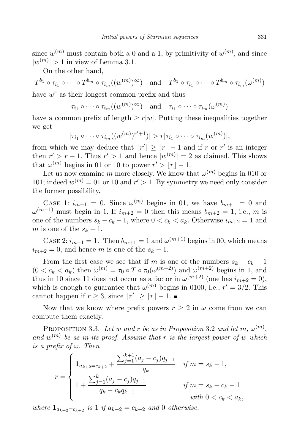since  $w^{(m)}$  must contain both a 0 and a 1, by primitivity of  $w^{(m)}$ , and since  $|w^{(m)}| > 1$  in view of Lemma 3.1.

On the other hand,

 $T^{b_1}\circ \tau_{i_1}\circ \cdots \circ T^{b_m}\circ \tau_{i_m}((w^{(m)})^{\infty}) \quad \text{and} \quad T^{b_1}\circ \tau_{i_1}\circ \cdots \circ T^{b_m}\circ \tau_{i_m}(\omega^{(m)})$ have  $w^r$  as their longest common prefix and thus

 $\tau_{i_1} \circ \cdots \circ \tau_{i_m} ((w^{(m)})^{\infty})$  and  $\tau_{i_1} \circ \cdots \circ \tau_{i_m} (\omega^{(m)})$ 

have a common prefix of length  $\geq r|w|$ . Putting these inequalities together we get

$$
|\tau_{i_1}\circ\cdots\circ\tau_{i_m}((w^{(m)})^{r'+1})|>r|\tau_{i_1}\circ\cdots\circ\tau_{i_m}(w^{(m)})|,
$$

from which we may deduce that  $\lfloor r' \rfloor \geq \lfloor r \rfloor - 1$  and if r or r' is an integer then  $r' > r - 1$ . Thus  $r' > 1$  and hence  $|w^{(m)}| = 2$  as claimed. This shows that  $\omega^{(m)}$  begins in 01 or 10 to power  $r' > \lfloor r \rfloor - 1$ .

Let us now examine m more closely. We know that  $\omega^{(m)}$  begins in 010 or 101; indeed  $w^{(m)} = 01$  or 10 and  $r' > 1$ . By symmetry we need only consider the former possibility.

CASE 1:  $i_{m+1} = 0$ . Since  $\omega^{(m)}$  begins in 01, we have  $b_{m+1} = 0$  and  $\omega^{(m+1)}$  must begin in 1. If  $i_{m+2} = 0$  then this means  $b_{m+2} = 1$ , i.e., m is one of the numbers  $s_k - c_k - 1$ , where  $0 < c_k < a_k$ . Otherwise  $i_{m+2} = 1$  and m is one of the  $s_k - 1$ .

CASE 2:  $i_{m+1} = 1$ . Then  $b_{m+1} = 1$  and  $\omega^{(m+1)}$  begins in 00, which means  $i_{m+2} = 0$ , and hence m is one of the  $s_k - 1$ .

From the first case we see that if m is one of the numbers  $s_k - c_k - 1$  $(0 < c_k < a_k)$  then  $\omega^{(m)} = \tau_0 \circ T \circ \tau_0(\omega^{(m+2)})$  and  $\omega^{(m+2)}$  begins in 1, and thus in 10 since 11 does not occur as a factor in  $\omega^{(m+2)}$  (one has  $i_{m+2} = 0$ ), which is enough to guarantee that  $\omega^{(m)}$  begins in 0100, i.e.,  $r' = 3/2$ . This cannot happen if  $r \geq 3$ , since  $\lfloor r' \rfloor \geq \lfloor r \rfloor - 1$ .

Now that we know where prefix powers  $r \geq 2$  in  $\omega$  come from we can compute them exactly.

PROPOSITION 3.3. Let w and r be as in Proposition 3.2 and let m,  $\omega^{(m)}$ , and  $w^{(m)}$  be as in its proof. Assume that r is the largest power of w which is a prefix of  $\omega$ . Then

$$
r = \begin{cases} \n1_{a_{k+2}=c_{k+2}} + \frac{\sum_{j=1}^{k+1} (a_j - c_j) q_{j-1}}{q_k} & \text{if } m = s_k - 1, \\
1 + \frac{\sum_{j=1}^k (a_j - c_j) q_{j-1}}{q_k - c_k q_{k-1}} & \text{if } m = s_k - c_k - 1 \\
\text{with } 0 < c_k < a_k,\n\end{cases}
$$

where  $1_{a_{k+2}=c_{k+2}}$  is 1 if  $a_{k+2}=c_{k+2}$  and 0 otherwise.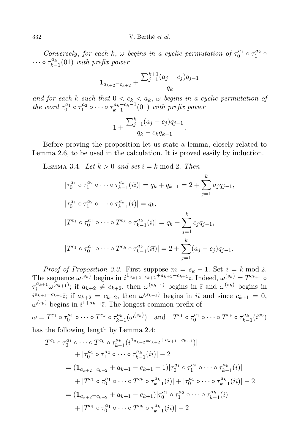Conversely, for each k,  $\omega$  begins in a cyclic permutation of  $\tau_0^{a_1} \circ \tau_1^{a_2} \circ$  $\cdots \circ \tau_{k-1}^{a_k}(01)$  with prefix power

$$
\mathbf{1}_{a_{k+2}=c_{k+2}} + \frac{\sum_{j=1}^{k+1} (a_j - c_j) q_{j-1}}{q_k}
$$

and for each k such that  $0 < c_k < a_k$ ,  $\omega$  begins in a cyclic permutation of the word  $\tau_0^{a_1} \circ \tau_1^{a_2} \circ \cdots \circ \tau_{k-1}^{a_k-c_k-1}(01)$  with prefix power

$$
1 + \frac{\sum_{j=1}^{k} (a_j - c_j) q_{j-1}}{q_k - c_k q_{k-1}}.
$$

Before proving the proposition let us state a lemma, closely related to Lemma 2.6, to be used in the calculation. It is proved easily by induction.

LEMMA 3.4. Let  $k > 0$  and set  $i = k \mod 2$ . Then

$$
|\tau_0^{a_1} \circ \tau_1^{a_2} \circ \cdots \circ \tau_{k-1}^{a_k}(i\overline{\imath})| = q_k + q_{k-1} = 2 + \sum_{j=1}^k a_j q_{j-1},
$$
  

$$
|\tau_0^{a_1} \circ \tau_1^{a_2} \circ \cdots \circ \tau_{k-1}^{a_k}(i)| = q_k,
$$
  

$$
|T^{c_1} \circ \tau_0^{a_1} \circ \cdots \circ T^{c_k} \circ \tau_{k-1}^{a_k}(i)| = q_k - \sum_{j=1}^k c_j q_{j-1},
$$
  

$$
|T^{c_1} \circ \tau_0^{a_1} \circ \cdots \circ T^{c_k} \circ \tau_{k-1}^{a_k}(i\overline{\imath})| = 2 + \sum_{j=1}^k (a_j - c_j) q_{j-1}.
$$

Proof of Proposition 3.3. First suppose  $m = s_k - 1$ . Set  $i = k \mod 2$ . The sequence  $\omega^{(s_k)}$  begins in  $i^{1_{a_{k+2}=c_{k+2}+a_{k+1}-c_{k+1}}}\overline{\imath}$ . Indeed,  $\omega^{(s_k)} = T^{c_{k+1}} \circ$  $\tau_i^{a_{k+1}}\omega^{(s_{k+1})}$ ; if  $a_{k+2} \neq c_{k+2}$ , then  $\omega^{(s_{k+1})}$  begins in  $\bar{\imath}$  and  $\omega^{(s_k)}$  begins in  $i^{a_{k+1}-c_{k+1}}\bar{i}$ ; if  $a_{k+2}=c_{k+2}$ , then  $\omega^{(s_{k+1})}$  begins in  $i\bar{i}$  and since  $c_{k+1}=0$ ,  $\omega^{(s_k)}$  begins in  $i^{1+a_{k+1}}\overline{\iota}$ . The longest common prefix of

 $\omega = T^{c_1} \circ \tau_0^{a_1} \circ \cdots \circ T^{c_k} \circ \tau_{k-1}^{a_k} (\omega^{(s_k)})$  and  $T^{c_1} \circ \tau_0^{a_1} \circ \cdots \circ T^{c_k} \circ \tau_{k-1}^{a_k} (i^{\infty})$ has the following length by Lemma 2.4:

$$
|T^{c_1} \circ \tau_0^{a_1} \circ \cdots \circ T^{c_k} \circ \tau_{k-1}^{a_k} (i^{1_{a_{k+2}=c_{k+2}+a_{k+1}-c_{k+1}})|
$$
  
+  $|\tau_0^{a_1} \circ \tau_1^{a_2} \circ \cdots \circ \tau_{k-1}^{a_k} (i\overline{\imath})| - 2$   
=  $(\mathbf{1}_{a_{k+2}=c_{k+2}} + a_{k+1} - c_{k+1} - 1)|\tau_0^{a_1} \circ \tau_1^{a_2} \circ \cdots \circ \tau_{k-1}^{a_k} (i)|$   
+  $|T^{c_1} \circ \tau_0^{a_1} \circ \cdots \circ T^{c_k} \circ \tau_{k-1}^{a_k} (i)| + |\tau_0^{a_1} \circ \cdots \circ \tau_{k-1}^{a_k} (i\overline{\imath})| - 2$   
=  $(\mathbf{1}_{a_{k+2}=c_{k+2}} + a_{k+1} - c_{k+1})|\tau_0^{a_1} \circ \tau_1^{a_2} \circ \cdots \circ \tau_{k-1}^{a_k} (i)|$   
+  $|T^{c_1} \circ \tau_0^{a_1} \circ \cdots \circ T^{c_k} \circ \tau_{k-1}^{a_k} (i\overline{\imath})| - 2$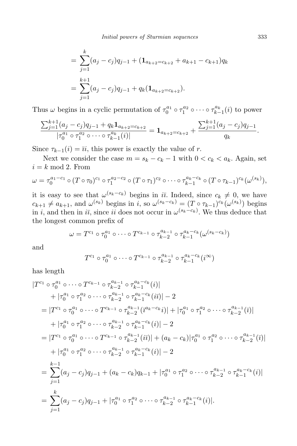$$
= \sum_{j=1}^{k} (a_j - c_j)q_{j-1} + (\mathbf{1}_{a_{k+2}=c_{k+2}} + a_{k+1} - c_{k+1})q_k
$$
  
= 
$$
\sum_{j=1}^{k+1} (a_j - c_j)q_{j-1} + q_k(\mathbf{1}_{a_{k+2}=c_{k+2}}).
$$

Thus  $\omega$  begins in a cyclic permutation of  $\tau_0^{a_1} \circ \tau_1^{a_2} \circ \cdots \circ \tau_{k-1}^{a_k}(i)$  to power

$$
\frac{\sum_{j=1}^{k+1} (a_j - c_j) q_{j-1} + q_k \mathbf{1}_{a_{k+2} = c_{k+2}}}{|\tau_0^{a_1} \circ \tau_1^{a_2} \circ \cdots \circ \tau_{k-1}^{a_k}(i)|} = \mathbf{1}_{a_{k+2} = c_{k+2}} + \frac{\sum_{j=1}^{k+1} (a_j - c_j) q_{j-1}}{q_k}.
$$

Since  $\tau_{k-1}(i) = \overline{u}$ , this power is exactly the value of r.

Next we consider the case  $m = s_k - c_k - 1$  with  $0 < c_k < a_k$ . Again, set  $i = k \mod 2$ . From

$$
\omega = \tau_0^{a_1-c_1} \circ (T \circ \tau_0)^{c_1} \circ \tau_1^{a_2-c_2} \circ (T \circ \tau_1)^{c_2} \circ \cdots \circ \tau_{k-1}^{a_k-c_k} \circ (T \circ \tau_{k-1})^{c_k} (\omega^{(s_k)}),
$$

it is easy to see that  $\omega^{(s_k-c_k)}$  begins in it. Indeed, since  $c_k \neq 0$ , we have  $c_{k+1} \neq a_{k+1}$ , and  $\omega^{(s_k)}$  begins in i, so  $\omega^{(s_k-c_k)} = (T \circ \tau_{k-1})^{c_k}(\omega^{(s_k)})$  begins in i, and then in  $i\bar{\imath}$ , since ii does not occur in  $\omega^{(s_k-c_k)}$ . We thus deduce that the longest common prefix of

$$
\omega = T^{c_1} \circ \tau_0^{a_1} \circ \cdots \circ T^{c_{k-1}} \circ \tau_{k-2}^{a_{k-1}} \circ \tau_{k-1}^{a_k-c_k} (\omega^{(s_k-c_k)})
$$

and

$$
T^{c_1} \circ \tau_0^{a_1} \circ \cdots \circ T^{c_{k-1}} \circ \tau_{k-2}^{a_{k-1}} \circ \tau_{k-1}^{a_k-c_k}(i^{\infty})
$$

has length

$$
|T^{c_1} \circ \tau_0^{a_1} \circ \cdots \circ T^{c_{k-1}} \circ \tau_{k-2}^{a_{k-1}} \circ \tau_{k-1}^{a_k-c_k}(i)|
$$
  
\n
$$
+ |\tau_0^{a_1} \circ \tau_1^{a_2} \circ \cdots \circ \tau_{k-2}^{a_{k-1}} \circ \tau_{k-1}^{a_k-c_k}(i)| - 2
$$
  
\n
$$
= |T^{c_1} \circ \tau_0^{a_1} \circ \cdots \circ T^{c_{k-1}} \circ \tau_{k-2}^{a_{k-1}}(\overline{v}_k^{a_k-c_k}i)| + |\tau_0^{a_1} \circ \tau_1^{a_2} \circ \cdots \circ \tau_{k-2}^{a_{k-1}}(\overline{v}_k)|
$$
  
\n
$$
+ |\tau_0^{a_1} \circ \tau_1^{a_2} \circ \cdots \circ \tau_{k-2}^{a_{k-1}} \circ \tau_{k-1}^{a_k-c_k}(i)| - 2
$$
  
\n
$$
= |T^{c_1} \circ \tau_0^{a_1} \circ \cdots \circ T^{c_{k-1}} \circ \tau_{k-2}^{a_{k-1}}(i\overline{v}_k)| + (a_k - c_k)|\tau_0^{a_1} \circ \tau_1^{a_2} \circ \cdots \circ \tau_{k-2}^{a_{k-1}}(\overline{v}_k)|
$$
  
\n
$$
+ |\tau_0^{a_1} \circ \tau_1^{a_2} \circ \cdots \circ \tau_{k-2}^{a_{k-1}} \circ \tau_{k-1}^{a_k-c_k}(i)| - 2
$$
  
\n
$$
= \sum_{j=1}^{k-1} (a_j - c_j)q_{j-1} + (a_k - c_k)q_{k-1} + |\tau_0^{a_1} \circ \tau_1^{a_2} \circ \cdots \circ \tau_{k-2}^{a_{k-1}} \circ \tau_{k-1}^{a_k-c_k}(i)|
$$
  
\n
$$
= \sum_{j=1}^{k} (a_j - c_j)q_{j-1} + |\tau_0^{a_1} \circ \tau_1^{a_2} \circ \cdots \circ \tau_{k-2}^{a_{k-1}} \circ \tau_{k-1}^{a_k-c_k}(i)|.
$$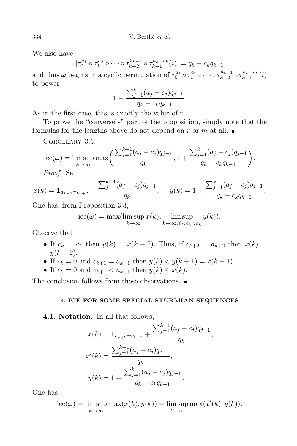We also have

$$
|\tau_0^{a_1} \circ \tau_1^{a_2} \circ \cdots \circ \tau_{k-2}^{a_{k-1}} \circ \tau_{k-1}^{a_k-c_k}(i)| = q_k - c_k q_{k-1}
$$

and thus  $\omega$  begins in a cyclic permutation of  $\tau_0^{a_1} \circ \tau_1^{a_2} \circ \cdots \circ \tau_{k-2}^{a_{k-1}}$  $\tau_{k-2}^{a_{k-1}} \circ \tau_{k-1}^{a_k-c_k}(i)$ to power

$$
1 + \frac{\sum_{j=1}^{k} (a_j - c_j) q_{j-1}}{q_k - c_k q_{k-1}}.
$$

As in the first case, this is exactly the value of r.

To prove the "conversely" part of the proposition, simply note that the formulas for the lengths above do not depend on r or m at all.  $\blacksquare$ 

Corollary 3.5.

$$
ice(\omega) = \limsup_{k \to \infty} \max \left( \frac{\sum_{j=1}^{k+1} (a_j - c_j) q_{j-1}}{q_k}, 1 + \frac{\sum_{j=1}^{k} (a_j - c_j) q_{j-1}}{q_k - c_k q_{k-1}} \right).
$$
  
Proof. Set

Proof. Set

$$
x(k) = \mathbf{1}_{a_{k+2}=c_{k+2}} + \frac{\sum_{j=1}^{k+1} (a_j - c_j) q_{j-1}}{q_k}, \quad y(k) = 1 + \frac{\sum_{j=1}^{k} (a_j - c_j) q_{j-1}}{q_k - c_k q_{k-1}}.
$$

One has, from Proposition 3.3,

$$
ice(\omega) = \max(\limsup_{k \to \infty} x(k), \limsup_{k \to \infty, 0 < c_k < a_k} y(k)).
$$

Observe that

- If  $c_k = a_k$  then  $y(k) = x(k-2)$ . Thus, if  $c_{k+2} = a_{k+2}$  then  $x(k) =$  $y(k + 2)$ .
- If  $c_k = 0$  and  $c_{k+1} = a_{k+1}$  then  $y(k) < y(k+1) = x(k-1)$ .
- If  $c_k = 0$  and  $c_{k+1} < a_{k+1}$  then  $y(k) \leq x(k)$ .

The conclusion follows from these observations.

### **4. ICE FOR SOME SPECIAL STURMIAN SEQUENCES**

4.1. Notation. In all that follows,

$$
x(k) = \mathbf{1}_{a_{k+2}=c_{k+2}} + \frac{\sum_{j=1}^{k+1} (a_j - c_j) q_{j-1}}{q_k},
$$
  

$$
x'(k) = \frac{\sum_{j=1}^{k+1} (a_j - c_j) q_{j-1}}{q_k},
$$
  

$$
y(k) = 1 + \frac{\sum_{j=1}^{k} (a_j - c_j) q_{j-1}}{q_k - c_k q_{k-1}}.
$$

One has

$$
ice(\omega) = \limsup_{k \to \infty} \max(x(k), y(k)) = \limsup_{k \to \infty} \max(x'(k), y(k)).
$$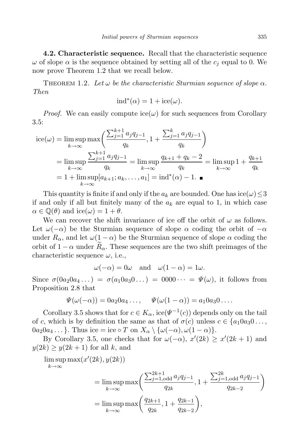4.2. Characteristic sequence. Recall that the characteristic sequence  $\omega$  of slope  $\alpha$  is the sequence obtained by setting all of the  $c_i$  equal to 0. We now prove Theorem 1.2 that we recall below.

THEOREM 1.2. Let  $\omega$  be the characteristic Sturmian sequence of slope  $\alpha$ . Then

$$
ind^*(\alpha) = 1 + ice(\omega).
$$

*Proof.* We can easily compute  $\text{ice}(\omega)$  for such sequences from Corollary 3.5:

ice(
$$
\omega
$$
) = lim sup max $\left(\frac{\sum_{j=1}^{k+1} a_j q_{j-1}}{q_k}, 1 + \frac{\sum_{j=1}^{k} a_j q_{j-1}}{q_k}\right)$   
\n= lim sup  $\frac{\sum_{j=1}^{k+1} a_j q_{j-1}}{q_k}$  = lim sup  $\frac{q_{k+1} + q_k - 2}{q_k}$  = lim sup 1 +  $\frac{q_{k+1}}{q_k}$   
\n= 1 + lim sup[ $a_{k+1}; a_k, ..., a_1$ ] = ind<sup>\*</sup>( $\alpha$ ) − 1. ■

This quantity is finite if and only if the  $a_k$  are bounded. One has  $\mathrm{ice}(\omega) \leq 3$ if and only if all but finitely many of the  $a_k$  are equal to 1, in which case  $\alpha \in \mathbb{Q}(\theta)$  and  $\text{ice}(\omega) = 1 + \theta$ .

We can recover the shift invariance of ice off the orbit of  $\omega$  as follows. Let  $\omega(-\alpha)$  be the Sturmian sequence of slope  $\alpha$  coding the orbit of  $-\alpha$ under  $R_{\alpha}$ , and let  $\omega(1-\alpha)$  be the Sturmian sequence of slope  $\alpha$  coding the orbit of  $1 - \alpha$  under  $R_{\alpha}$ . These sequences are the two shift preimages of the characteristic sequence  $\omega$ , i.e.,

 $\omega(-\alpha) = 0$ ω and  $\omega(1-\alpha) = 1$ ω.

Since  $\sigma(0a_20a_4...) = \sigma(a_10a_30...) = 0000 \cdots = \Psi(\omega)$ , it follows from Proposition 2.8 that

$$
\Psi(\omega(-\alpha)) = 0a_2 0a_4 \ldots, \quad \Psi(\omega(1-\alpha)) = a_1 0a_3 0 \ldots
$$

Corollary 3.5 shows that for  $c \in K_\alpha$ , ice( $\Psi^{-1}(c)$ ) depends only on the tail of c, which is by definition the same as that of  $\sigma(c)$  unless  $c \in \{a_1 0 a_3 0 \ldots, a_n 0 a_n 0 \ldots, a_n 0 a_n 0 \ldots, a_n 0 a_n 0 \ldots, a_n 0 a_n 0 \ldots, a_n 0 a_n 0 \ldots, a_n 0 a_n 0 \ldots, a_n 0 a_n 0 \ldots, a_n 0 a_n 0 \ldots, a_n 0 a_n 0 \ldots, a_n 0 a_n 0 \ldots, a_n 0 a_n 0 \ldots, a_n 0 a_n$  $0a_20a_4\ldots$ . Thus ice = ice ∘ T on  $X_\alpha\setminus\{\omega(-\alpha),\omega(1-\alpha)\}.$ 

By Corollary 3.5, one checks that for  $\omega(-\alpha)$ ,  $x'(2k) \ge x'(2k+1)$  and  $y(2k) \geq y(2k+1)$  for all k, and

$$
\limsup_{k \to \infty} \max(x'(2k), y(2k))
$$
\n
$$
= \limsup_{k \to \infty} \max \left( \frac{\sum_{j=1, \text{odd}}^{2k+1} a_j q_{j-1}}{q_{2k}}, 1 + \frac{\sum_{j=1, \text{odd}}^{2k} a_j q_{j-1}}{q_{2k-2}} \right)
$$
\n
$$
= \limsup_{k \to \infty} \max \left( \frac{q_{2k+1}}{q_{2k}}, 1 + \frac{q_{2k-1}}{q_{2k-2}} \right),
$$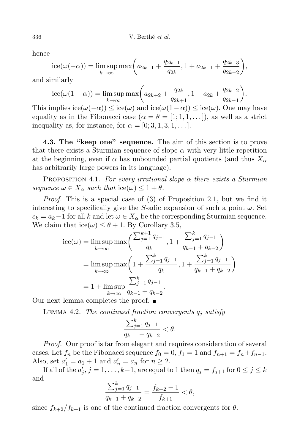hence

$$
ice(\omega(-\alpha)) = \limsup_{k \to \infty} \max\left(a_{2k+1} + \frac{q_{2k-1}}{q_{2k}}, 1 + a_{2k-1} + \frac{q_{2k-3}}{q_{2k-2}}\right),
$$

and similarly

$$
ice(\omega(1-\alpha)) = \limsup_{k \to \infty} \max\left(a_{2k+2} + \frac{q_{2k}}{q_{2k+1}}, 1 + a_{2k} + \frac{q_{2k-2}}{q_{2k-1}}\right).
$$

This implies  $\operatorname{ice}(\omega(-\alpha)) \leq \operatorname{ice}(\omega)$  and  $\operatorname{ice}(\omega(1-\alpha)) \leq \operatorname{ice}(\omega)$ . One may have equality as in the Fibonacci case  $(\alpha = \theta = [1; 1, 1, \ldots])$ , as well as a strict inequality as, for instance, for  $\alpha = [0; 3, 1, 3, 1, \dots]$ .

4.3. The "keep one" sequence. The aim of this section is to prove that there exists a Sturmian sequence of slope  $\alpha$  with very little repetition at the beginning, even if  $\alpha$  has unbounded partial quotients (and thus  $X_{\alpha}$ has arbitrarily large powers in its language).

PROPOSITION 4.1. For every irrational slope  $\alpha$  there exists a Sturmian sequence  $\omega \in X_\alpha$  such that  $\mathrm{ice}(\omega) \leq 1 + \theta$ .

Proof. This is a special case of (3) of Proposition 2.1, but we find it interesting to specifically give the S-adic expansion of such a point  $\omega$ . Set  $c_k = a_k - 1$  for all k and let  $\omega \in X_\alpha$  be the corresponding Sturmian sequence. We claim that  $\text{ice}(\omega) \leq \theta + 1$ . By Corollary 3.5,

ice(ω) = lim sup max
$$
\left(\frac{\sum_{j=1}^{k+1} q_{j-1}}{q_k}, 1 + \frac{\sum_{j=1}^{k} q_{j-1}}{q_{k-1} + q_{k-2}}\right)
$$
  
\n= lim sup max $\left(1 + \frac{\sum_{j=1}^{k} q_{j-1}}{q_k}, 1 + \frac{\sum_{j=1}^{k} q_{j-1}}{q_{k-1} + q_{k-2}}\right)$   
\n= 1 + lim sup  $\frac{\sum_{j=1}^{k} q_{j-1}}{q_{k-1} + q_{k-2}}$ .  
\nlemma completes the proof.

Our next lemma completes the proof.  $\blacksquare$ 

LEMMA 4.2. The continued fraction convergents  $q_i$  satisfy

$$
\frac{\sum_{j=1}^{k} q_{j-1}}{q_{k-1} + q_{k-2}} < \theta.
$$

Proof. Our proof is far from elegant and requires consideration of several cases. Let  $f_n$  be the Fibonacci sequence  $f_0 = 0$ ,  $f_1 = 1$  and  $f_{n+1} = f_n + f_{n-1}$ . Also, set  $a'_1 = a_1 + 1$  and  $a'_n = a_n$  for  $n \ge 2$ .

If all of the  $a'_j$ ,  $j = 1, \ldots, k-1$ , are equal to 1 then  $q_j = f_{j+1}$  for  $0 \le j \le k$ and  $\mathbf{r}$ 

$$
\frac{\sum_{j=1}^{k} q_{j-1}}{q_{k-1} + q_{k-2}} = \frac{f_{k+2} - 1}{f_{k+1}} < \theta,
$$

since  $f_{k+2}/f_{k+1}$  is one of the continued fraction convergents for  $\theta$ .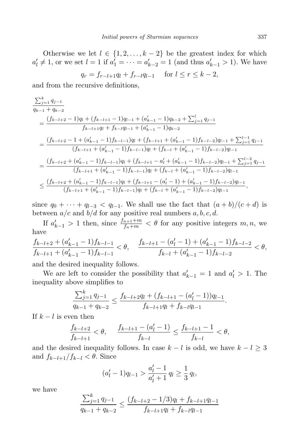Otherwise we let  $l \in \{1, 2, ..., k-2\}$  be the greatest index for which  $a'_l \neq 1$ , or we set  $l = 1$  if  $a'_1 = \cdots = a'_{k-2} = 1$  (and thus  $a'_{k-1} > 1$ ). We have

$$
q_r = f_{r-l+1}q_l + f_{r-l}q_{l-1} \quad \text{ for } l \le r \le k-2,
$$

and from the recursive definitions,

$$
\frac{\sum_{j=1}^{k} q_{j-1}}{q_{k-1} + q_{k-2}} = \frac{(f_{k-l+2} - 1)q_l + (f_{k-l+1} - 1)q_{l-1} + (a'_{k-1} - 1)q_{k-2} + \sum_{j=1}^{l} q_{j-1}}{f_{k-l+1}q_l + f_{k-l}q_{l-1} + (a'_{k-1} - 1)q_{k-2}} = \frac{(f_{k-l+2} - 1 + (a'_{k-1} - 1)f_{k-l-1})q_l + (f_{k-l+1} + (a'_{k-1} - 1)f_{k-l-2})q_{l-1} + \sum_{j=1}^{l-1} q_{j-1}}{(f_{k-l+1} + (a'_{k-1} - 1)f_{k-l-1})q_l + (f_{k-l} + (a'_{k-1} - 1)f_{k-l-2})q_{l-1}} = \frac{(f_{k-l+2} + (a'_{k-1} - 1)f_{k-l-1})q_l + (f_{k-l+1} - a'_l + (a'_{k-1} - 1)f_{k-l-2})q_{l-1} + \sum_{j=1}^{l-2} q_{j-1}}{(f_{k-l+1} + (a'_{k-1} - 1)f_{k-l-1})q_l + (f_{k-l} + (a'_{k-1} - 1)f_{k-l-2})q_{l-1}} = \frac{(f_{k-l+2} + (a'_{k-1} - 1)f_{k-l-1})q_l + (f_{k-l+1} - (a'_l - 1) + (a'_{k-1} - 1)f_{k-l-2})q_{l-1}}{(f_{k-l+1} + (a'_{k-1} - 1)f_{k-l-1})q_l + (f_{k-l+1} - (a'_l - 1) + (a'_{k-1} - 1)f_{k-l-2})q_{l-1}},
$$

since  $q_0 + \cdots + q_{l-3} < q_{l-1}$ . We shall use the fact that  $(a + b)/(c + d)$  is between  $a/c$  and  $b/d$  for any positive real numbers  $a, b, c, d$ .

If  $a'_{k-1} > 1$  then, since  $\frac{f_{n+1}+m}{f_n+m} < \theta$  for any positive integers  $m, n$ , we have

$$
\frac{f_{k-l+2}+(a'_{k-1}-1)f_{k-l-1}}{f_{k-l+1}+(a'_{k-1}-1)f_{k-l-1}}<\theta,\quad \frac{f_{k-l+1}-(a'_{l}-1)+(a'_{k-1}-1)f_{k-l-2}}{f_{k-l}+(a'_{k-1}-1)f_{k-l-2}}<\theta,
$$

and the desired inequality follows.

 $\frac{1}{2}$ 

We are left to consider the possibility that  $a'_{k-1} = 1$  and  $a'_{k} > 1$ . The inequality above simplifies to

$$
\frac{\sum_{j=1}^{k} q_{j-1}}{q_{k-1} + q_{k-2}} \le \frac{f_{k-l+2}q_l + (f_{k-l+1} - (a'_l - 1))q_{l-1}}{f_{k-l+1}q_l + f_{k-l}q_{l-1}}.
$$

If  $k - l$  is even then

$$
\frac{f_{k-l+2}}{f_{k-l+1}} < \theta, \quad \frac{f_{k-l+1} - (a'_l - 1)}{f_{k-l}} \le \frac{f_{k-l+1} - 1}{f_{k-l}} < \theta,
$$

and the desired inequality follows. In case  $k - l$  is odd, we have  $k - l \geq 3$ and  $f_{k-l+1}/f_{k-l} < \theta$ . Since

$$
(a'_l - 1)q_{l-1} > \frac{a'_l - 1}{a'_l + 1} q_l \ge \frac{1}{3} q_l,
$$

we have

$$
\frac{\sum_{j=1}^{k} q_{j-1}}{q_{k-1} + q_{k-2}} \le \frac{(f_{k-l+2} - 1/3)q_l + f_{k-l+1}q_{l-1}}{f_{k-l+1}q_l + f_{k-l}q_{l-1}}
$$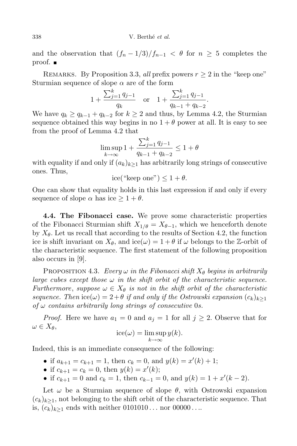and the observation that  $(f_n-1/3)/f_{n-1} < \theta$  for  $n \geq 5$  completes the proof.

REMARKS. By Proposition 3.3, all prefix powers  $r \geq 2$  in the "keep one" Sturmian sequence of slope  $\alpha$  are of the form

$$
1 + \frac{\sum_{j=1}^{k} q_{j-1}}{q_k} \quad \text{or} \quad 1 + \frac{\sum_{j=1}^{k} q_{j-1}}{q_{k-1} + q_{k-2}}.
$$

We have  $q_k \geq q_{k-1} + q_{k-2}$  for  $k \geq 2$  and thus, by Lemma 4.2, the Sturmian sequence obtained this way begins in no  $1 + \theta$  power at all. It is easy to see from the proof of Lemma 4.2 that

$$
\limsup_{k \to \infty} 1 + \frac{\sum_{j=1}^{k} q_{j-1}}{q_{k-1} + q_{k-2}} \le 1 + \theta
$$

with equality if and only if  $(a_k)_{k>1}$  has arbitrarily long strings of consecutive ones. Thus,

$$
ice("keep one") \le 1 + \theta.
$$

One can show that equality holds in this last expression if and only if every sequence of slope  $\alpha$  has ice  $\geq 1 + \theta$ .

4.4. The Fibonacci case. We prove some characteristic properties of the Fibonacci Sturmian shift  $X_{1/\theta} = X_{\theta-1}$ , which we henceforth denote by  $X_{\theta}$ . Let us recall that according to the results of Section 4.2, the function ice is shift invariant on  $X_{\theta}$ , and ice( $\omega$ ) =  $1 + \theta$  if  $\omega$  belongs to the Z-orbit of the characteristic sequence. The first statement of the following proposition also occurs in [9].

PROPOSITION 4.3. Every  $\omega$  in the Fibonacci shift  $X_{\theta}$  begins in arbitrarily large cubes except those  $\omega$  in the shift orbit of the characteristic sequence. Furthermore, suppose  $\omega \in X_{\theta}$  is not in the shift orbit of the characteristic sequence. Then ice( $\omega$ ) = 2+ $\theta$  if and only if the Ostrowski expansion  $(c_k)_{k\geq 1}$ of  $\omega$  contains arbitrarily long strings of consecutive 0s.

*Proof.* Here we have  $a_1 = 0$  and  $a_j = 1$  for all  $j \geq 2$ . Observe that for  $\omega \in X_{\theta},$ 

$$
ice(\omega) = \limsup_{k \to \infty} y(k).
$$

Indeed, this is an immediate consequence of the following:

• if  $a_{k+1} = c_{k+1} = 1$ , then  $c_k = 0$ , and  $y(k) = x'(k) + 1$ ;

- if  $c_{k+1} = c_k = 0$ , then  $y(k) = x'(k)$ ;
- if  $c_{k+1} = 0$  and  $c_k = 1$ , then  $c_{k-1} = 0$ , and  $y(k) = 1 + x'(k-2)$ .

Let  $\omega$  be a Sturmian sequence of slope  $\theta$ , with Ostrowski expansion  $(c_k)_{k\geq 1}$ , not belonging to the shift orbit of the characteristic sequence. That is,  $(c_k)_{k\geq 1}$  ends with neither  $0101010...$  nor  $00000...$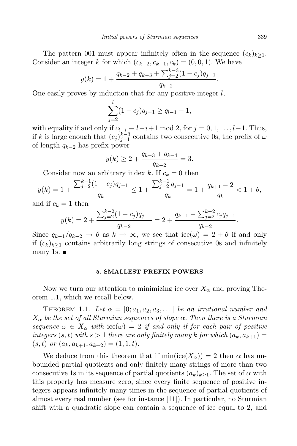The pattern 001 must appear infinitely often in the sequence  $(c_k)_{k\geq 1}$ . Consider an integer k for which  $(c_{k-2}, c_{k-1}, c_k) = (0, 0, 1)$ . We have

$$
y(k) = 1 + \frac{q_{k-2} + q_{k-3} + \sum_{j=2}^{k-3} (1 - c_j) q_{j-1}}{q_{k-2}}.
$$

One easily proves by induction that for any positive integer  $l$ ,

$$
\sum_{j=2}^{l} (1 - c_j) q_{j-1} \ge q_{l-1} - 1,
$$

with equality if and only if  $c_{l-i} \equiv l-i+1 \mod 2$ , for  $j = 0, 1, \ldots, l-1$ . Thus, if k is large enough that  $(c_j)_{j=1}^{k-3}$  contains two consecutive 0s, the prefix of  $\omega$ of length  $q_{k-2}$  has prefix power

$$
y(k) \ge 2 + \frac{q_{k-3} + q_{k-4}}{q_{k-2}} = 3.
$$

Consider now an arbitrary index k. If  $c_k = 0$  then

$$
y(k) = 1 + \frac{\sum_{j=2}^{k-1} (1 - c_j)q_{j-1}}{q_k} \le 1 + \frac{\sum_{j=2}^{k-1} q_{j-1}}{q_k} = 1 + \frac{q_{k+1} - 2}{q_k} < 1 + \theta,
$$

and if  $c_k = 1$  then

$$
y(k) = 2 + \frac{\sum_{j=2}^{k-2} (1 - c_j)q_{j-1}}{q_{k-2}} = 2 + \frac{q_{k-1} - \sum_{j=2}^{k-2} c_j q_{j-1}}{q_{k-2}}.
$$

Since  $q_{k-1}/q_{k-2} \to \theta$  as  $k \to \infty$ , we see that ice( $\omega$ ) = 2 +  $\theta$  if and only if  $(c_k)_{k>1}$  contains arbitrarily long strings of consecutive 0s and infinitely many 1s.  $\blacksquare$ 

### **5. SMALLEST PREFIX POWERS**

Now we turn our attention to minimizing ice over  $X_{\alpha}$  and proving Theorem 1.1, which we recall below.

THEOREM 1.1. Let  $\alpha = [0; a_1, a_2, a_3, \ldots]$  be an irrational number and  $X_{\alpha}$  be the set of all Sturmian sequences of slope  $\alpha$ . Then there is a Sturmian sequence  $\omega \in X_\alpha$  with  $\text{ice}(\omega) = 2$  if and only if for each pair of positive integers  $(s, t)$  with  $s > 1$  there are only finitely many k for which  $(a_k, a_{k+1}) =$  $(s, t)$  or  $(a_k, a_{k+1}, a_{k+2}) = (1, 1, t).$ 

We deduce from this theorem that if  $min(ice(X_{\alpha})) = 2$  then  $\alpha$  has unbounded partial quotients and only finitely many strings of more than two consecutive 1s in its sequence of partial quotients  $(a_k)_{k\geq 1}$ . The set of  $\alpha$  with this property has measure zero, since every finite sequence of positive integers appears infinitely many times in the sequence of partial quotients of almost every real number (see for instance [11]). In particular, no Sturmian shift with a quadratic slope can contain a sequence of ice equal to 2, and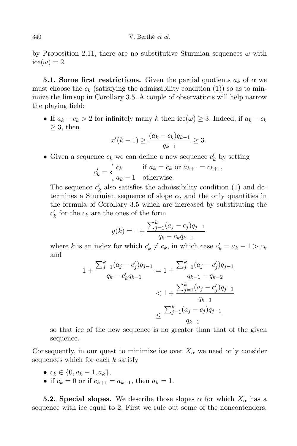by Proposition 2.11, there are no substitutive Sturmian sequences  $\omega$  with  $ice(\omega) = 2.$ 

**5.1. Some first restrictions.** Given the partial quotients  $a_k$  of  $\alpha$  we must choose the  $c_k$  (satisfying the admissibility condition (1)) so as to minimize the lim sup in Corollary 3.5. A couple of observations will help narrow the playing field:

• If  $a_k - c_k > 2$  for infinitely many k then ice( $\omega$ ) ≥ 3. Indeed, if  $a_k - c_k$  $>$  3, then

$$
x'(k-1) \ge \frac{(a_k - c_k)q_{k-1}}{q_{k-1}} \ge 3.
$$

• Given a sequence  $c_k$  we can define a new sequence  $c'_k$  by setting

$$
c'_{k} = \begin{cases} c_{k} & \text{if } a_{k} = c_{k} \text{ or } a_{k+1} = c_{k+1}, \\ a_{k} - 1 & \text{otherwise.} \end{cases}
$$

The sequence  $c'_{k}$  also satisfies the admissibility condition (1) and determines a Sturmian sequence of slope  $\alpha$ , and the only quantities in the formula of Corollary 3.5 which are increased by substituting the  $c'_{k}$  for the  $c_{k}$  are the ones of the form

$$
y(k) = 1 + \frac{\sum_{j=1}^{k} (a_j - c_j) q_{j-1}}{q_k - c_k q_{k-1}}
$$

where k is an index for which  $c'_k \neq c_k$ , in which case  $c'_k = a_k - 1 > c_k$ and

$$
1 + \frac{\sum_{j=1}^{k} (a_j - c'_j)q_{j-1}}{q_k - c'_k q_{k-1}} = 1 + \frac{\sum_{j=1}^{k} (a_j - c'_j)q_{j-1}}{q_{k-1} + q_{k-2}} < 1 + \frac{\sum_{j=1}^{k} (a_j - c'_j)q_{j-1}}{q_{k-1}} \leq \frac{\sum_{j=1}^{k} (a_j - c_j)q_{j-1}}{q_{k-1}}
$$

so that ice of the new sequence is no greater than that of the given sequence.

Consequently, in our quest to minimize ice over  $X_\alpha$  we need only consider sequences which for each  $k$  satisfy

- $c_k \in \{0, a_k 1, a_k\},\$
- if  $c_k = 0$  or if  $c_{k+1} = a_{k+1}$ , then  $a_k = 1$ .

**5.2. Special slopes.** We describe those slopes  $\alpha$  for which  $X_{\alpha}$  has a sequence with ice equal to 2. First we rule out some of the noncontenders.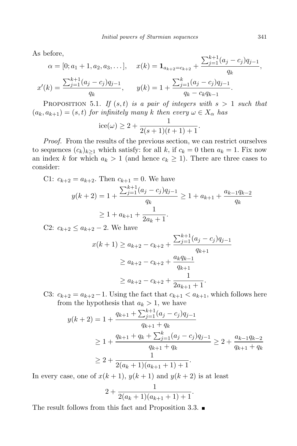As before,

$$
\alpha = [0; a_1 + 1, a_2, a_3, \dots], \quad x(k) = \mathbf{1}_{a_{k+2}=c_{k+2}} + \frac{\sum_{j=1}^{k+1} (a_j - c_j) q_{j-1}}{q_k},
$$

$$
x'(k) = \frac{\sum_{j=1}^{k+1} (a_j - c_j) q_{j-1}}{q_k}, \quad y(k) = 1 + \frac{\sum_{j=1}^{k} (a_j - c_j) q_{j-1}}{q_k - c_k q_{k-1}}.
$$

PROPOSITION 5.1. If  $(s, t)$  is a pair of integers with  $s > 1$  such that  $(a_k, a_{k+1}) = (s, t)$  for infinitely many k then every  $\omega \in X_\alpha$  has

$$
ice(\omega) \ge 2 + \frac{1}{2(s+1)(t+1)+1}.
$$

Proof. From the results of the previous section, we can restrict ourselves to sequences  $(c_k)_{k>1}$  which satisfy: for all k, if  $c_k = 0$  then  $a_k = 1$ . Fix now an index k for which  $a_k > 1$  (and hence  $c_k \geq 1$ ). There are three cases to consider:

C1: 
$$
c_{k+2} = a_{k+2}
$$
. Then  $c_{k+1} = 0$ . We have  
\n
$$
y(k+2) = 1 + \frac{\sum_{j=1}^{k+1} (a_j - c_j) q_{j-1}}{q_k} \ge 1 + a_{k+1} + \frac{a_{k-1} q_{k-2}}{q_k}
$$
\n
$$
\ge 1 + a_{k+1} + \frac{1}{2a_k + 1}.
$$

C2:  $c_{k+2} \le a_{k+2} - 2$ . We have

$$
x(k+1) \ge a_{k+2} - c_{k+2} + \frac{\sum_{j=1}^{k+1} (a_j - c_j) q_{j-1}}{q_{k+1}}
$$
  
 
$$
\ge a_{k+2} - c_{k+2} + \frac{a_k q_{k-1}}{q_{k+1}}
$$
  
 
$$
\ge a_{k+2} - c_{k+2} + \frac{1}{2a_{k+1} + 1}.
$$

C3:  $c_{k+2} = a_{k+2} - 1$ . Using the fact that  $c_{k+1} < a_{k+1}$ , which follows here from the hypothesis that  $a_k > 1$ , we have

$$
y(k+2) = 1 + \frac{q_{k+1} + \sum_{j=1}^{k+1} (a_j - c_j) q_{j-1}}{q_{k+1} + q_k}
$$
  
\n
$$
\geq 1 + \frac{q_{k+1} + q_k + \sum_{j=1}^k (a_j - c_j) q_{j-1}}{q_{k+1} + q_k} \geq 2 + \frac{a_{k-1} q_{k-2}}{q_{k+1} + q_k}
$$
  
\n
$$
\geq 2 + \frac{1}{2(a_k + 1)(a_{k+1} + 1) + 1}.
$$

In every case, one of  $x(k + 1)$ ,  $y(k + 1)$  and  $y(k + 2)$  is at least

$$
2 + \frac{1}{2(a_k+1)(a_{k+1}+1)+1}.
$$

The result follows from this fact and Proposition 3.3.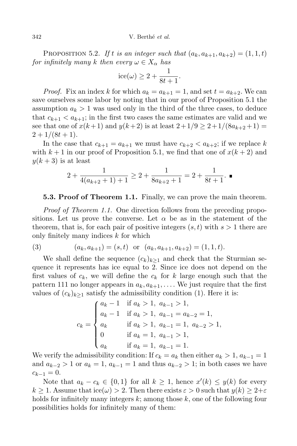342 V. Berthé et al.

PROPOSITION 5.2. If t is an integer such that  $(a_k, a_{k+1}, a_{k+2}) = (1, 1, t)$ for infinitely many k then every  $\omega \in X_{\alpha}$  has

$$
ice(\omega) \ge 2 + \frac{1}{8t + 1}.
$$

*Proof.* Fix an index k for which  $a_k = a_{k+1} = 1$ , and set  $t = a_{k+2}$ . We can save ourselves some labor by noting that in our proof of Proposition 5.1 the assumption  $a_k > 1$  was used only in the third of the three cases, to deduce that  $c_{k+1} < a_{k+1}$ ; in the first two cases the same estimates are valid and we see that one of  $x(k+1)$  and  $y(k+2)$  is at least  $2+1/9 \ge 2+1/(8a_{k+2}+1)$  $2 + 1/(8t + 1)$ .

In the case that  $c_{k+1} = a_{k+1}$  we must have  $c_{k+2} < a_{k+2}$ ; if we replace k with  $k + 1$  in our proof of Proposition 5.1, we find that one of  $x(k + 2)$  and  $y(k+3)$  is at least

$$
2 + \frac{1}{4(a_{k+2}+1)+1} \ge 2 + \frac{1}{8a_{k+2}+1} = 2 + \frac{1}{8t+1}.
$$

## **5.3. Proof of Theorem 1.1.** Finally, we can prove the main theorem.

Proof of Theorem 1.1. One direction follows from the preceding propositions. Let us prove the converse. Let  $\alpha$  be as in the statement of the theorem, that is, for each pair of positive integers  $(s, t)$  with  $s > 1$  there are only finitely many indices  $k$  for which

(3) 
$$
(a_k, a_{k+1}) = (s, t) \text{ or } (a_k, a_{k+1}, a_{k+2}) = (1, 1, t).
$$

We shall define the sequence  $(c_k)_{k>1}$  and check that the Sturmian sequence it represents has ice equal to 2. Since ice does not depend on the first values of  $c_k$ , we will define the  $c_k$  for k large enough such that the pattern 111 no longer appears in  $a_k, a_{k+1}, \ldots$ . We just require that the first values of  $(c_k)_{k\geq 1}$  satisfy the admissibility condition (1). Here it is:

$$
c_k = \begin{cases} a_k - 1 & \text{if } a_k > 1, \ a_{k-1} > 1, \\ a_k - 1 & \text{if } a_k > 1, \ a_{k-1} = a_{k-2} = 1, \\ a_k & \text{if } a_k > 1, \ a_{k-1} = 1, \ a_{k-2} > 1, \\ 0 & \text{if } a_k = 1, \ a_{k-1} > 1, \\ a_k & \text{if } a_k = 1, \ a_{k-1} = 1. \end{cases}
$$

We verify the admissibility condition: If  $c_k = a_k$  then either  $a_k > 1, a_{k-1} = 1$ and  $a_{k-2} > 1$  or  $a_k = 1$ ,  $a_{k-1} = 1$  and thus  $a_{k-2} > 1$ ; in both cases we have  $c_{k-1} = 0.$ 

Note that  $a_k - c_k \in \{0, 1\}$  for all  $k \geq 1$ , hence  $x'(k) \leq y(k)$  for every  $k \geq 1$ . Assume that  $\mathrm{ice}(\omega) > 2$ . Then there exists  $\varepsilon > 0$  such that  $y(k) \geq 2+\varepsilon$ holds for infinitely many integers  $k$ ; among those  $k$ , one of the following four possibilities holds for infinitely many of them: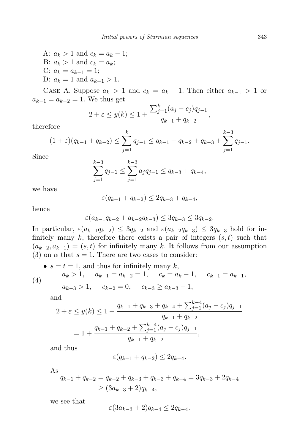A: 
$$
a_k > 1
$$
 and  $c_k = a_k - 1$ ;  
\nB:  $a_k > 1$  and  $c_k = a_k$ ;  
\nC:  $a_k = a_{k-1} = 1$ ;  
\nD:  $a_k = 1$  and  $a_{k-1} > 1$ .

CASE A. Suppose  $a_k > 1$  and  $c_k = a_k - 1$ . Then either  $a_{k-1} > 1$  or  $a_{k-1} = a_{k-2} = 1$ . We thus get

$$
2 + \varepsilon \le y(k) \le 1 + \frac{\sum_{j=1}^{k} (a_j - c_j) q_{j-1}}{q_{k-1} + q_{k-2}},
$$

therefore

$$
(1+\varepsilon)(q_{k-1}+q_{k-2}) \leq \sum_{j=1}^k q_{j-1} \leq q_{k-1}+q_{k-2}+q_{k-3}+\sum_{j=1}^{k-3} q_{j-1}.
$$

Since

$$
\sum_{j=1}^{k-3} q_{j-1} \le \sum_{j=1}^{k-3} a_j q_{j-1} \le q_{k-3} + q_{k-4},
$$

we have

$$
\varepsilon(q_{k-1} + q_{k-2}) \le 2q_{k-3} + q_{k-4},
$$

hence

$$
\varepsilon (a_{k-1}q_{k-2} + a_{k-2}q_{k-3}) \leq 3q_{k-3} \leq 3q_{k-2}.
$$

In particular,  $\varepsilon(a_{k-1}q_{k-2}) \leq 3q_{k-2}$  and  $\varepsilon(a_{k-2}q_{k-3}) \leq 3q_{k-3}$  hold for infinitely many  $k$ , therefore there exists a pair of integers  $(s, t)$  such that  $(a_{k-2}, a_{k-1}) = (s, t)$  for infinitely many k. It follows from our assumption (3) on  $\alpha$  that  $s = 1$ . There are two cases to consider:

• 
$$
s = t = 1
$$
, and thus for infinitely many  $k$ ,  
\n $a_k > 1$ ,  $a_{k-1} = a_{k-2} = 1$ ,  $c_k = a_k - 1$ ,  $c_{k-1} = a_{k-1}$ ,  
\n(4)

$$
a_{k-3} > 1
$$
,  $c_{k-2} = 0$ ,  $c_{k-3} \ge a_{k-3} - 1$ ,

and

$$
2 + \varepsilon \le y(k) \le 1 + \frac{q_{k-1} + q_{k-3} + q_{k-4} + \sum_{j=1}^{k-4} (a_j - c_j)q_{j-1}}{q_{k-1} + q_{k-2}}
$$
  
= 
$$
1 + \frac{q_{k-1} + q_{k-2} + \sum_{j=1}^{k-4} (a_j - c_j)q_{j-1}}{q_{k-1} + q_{k-2}},
$$

and thus

$$
\varepsilon(q_{k-1} + q_{k-2}) \le 2q_{k-4}.
$$

As

$$
q_{k-1} + q_{k-2} = q_{k-2} + q_{k-3} + q_{k-3} + q_{k-4} = 3q_{k-3} + 2q_{k-4}
$$
  
\n
$$
\geq (3a_{k-3} + 2)q_{k-4},
$$

we see that

$$
\varepsilon (3a_{k-3}+2)q_{k-4}\le 2q_{k-4}.
$$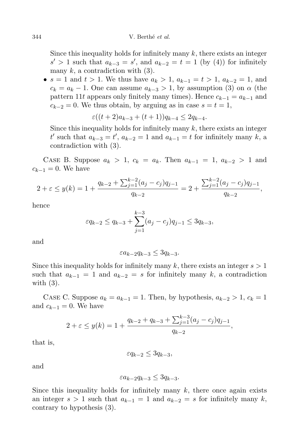Since this inequality holds for infinitely many  $k$ , there exists an integer  $s'$  > 1 such that  $a_{k-3} = s'$ , and  $a_{k-2} = t = 1$  (by (4)) for infinitely many  $k$ , a contradiction with  $(3)$ .

•  $s = 1$  and  $t > 1$ . We thus have  $a_k > 1$ ,  $a_{k-1} = t > 1$ ,  $a_{k-2} = 1$ , and  $c_k = a_k - 1$ . One can assume  $a_{k-3} > 1$ , by assumption (3) on  $\alpha$  (the pattern 11t appears only finitely many times). Hence  $c_{k-1} = a_{k-1}$  and  $c_{k-2} = 0$ . We thus obtain, by arguing as in case  $s = t = 1$ ,

$$
\varepsilon((t+2)a_{k-3}+(t+1))q_{k-4} \le 2q_{k-4}.
$$

Since this inequality holds for infinitely many  $k$ , there exists an integer t' such that  $a_{k-3} = t'$ ,  $a_{k-2} = 1$  and  $a_{k-1} = t$  for infinitely many k, a contradiction with (3).

CASE B. Suppose  $a_k > 1$ ,  $c_k = a_k$ . Then  $a_{k-1} = 1$ ,  $a_{k-2} > 1$  and  $c_{k-1} = 0$ . We have

$$
2 + \varepsilon \le y(k) = 1 + \frac{q_{k-2} + \sum_{j=1}^{k-2} (a_j - c_j) q_{j-1}}{q_{k-2}} = 2 + \frac{\sum_{j=1}^{k-2} (a_j - c_j) q_{j-1}}{q_{k-2}},
$$

hence

$$
\varepsilon q_{k-2} \le q_{k-3} + \sum_{j=1}^{k-3} (a_j - c_j) q_{j-1} \le 3q_{k-3},
$$

and

$$
\varepsilon a_{k-2} q_{k-3} \le 3q_{k-3}.
$$

Since this inequality holds for infinitely many k, there exists an integer  $s > 1$ such that  $a_{k-1} = 1$  and  $a_{k-2} = s$  for infinitely many k, a contradiction with  $(3)$ .

CASE C. Suppose  $a_k = a_{k-1} = 1$ . Then, by hypothesis,  $a_{k-2} > 1$ ,  $c_k = 1$ and  $c_{k-1} = 0$ . We have

$$
2 + \varepsilon \le y(k) = 1 + \frac{q_{k-2} + q_{k-3} + \sum_{j=1}^{k-3} (a_j - c_j) q_{j-1}}{q_{k-2}},
$$

that is,

$$
\varepsilon q_{k-2} \le 3q_{k-3},
$$

and

$$
\varepsilon a_{k-2} q_{k-3} \le 3q_{k-3}.
$$

Since this inequality holds for infinitely many  $k$ , there once again exists an integer  $s > 1$  such that  $a_{k-1} = 1$  and  $a_{k-2} = s$  for infinitely many k, contrary to hypothesis (3).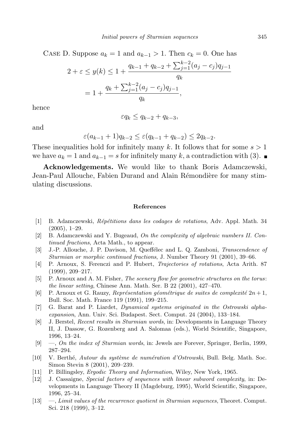CASE D. Suppose  $a_k = 1$  and  $a_{k-1} > 1$ . Then  $c_k = 0$ . One has

$$
2 + \varepsilon \le y(k) \le 1 + \frac{q_{k-1} + q_{k-2} + \sum_{j=1}^{k-2} (a_j - c_j) q_{j-1}}{q_k}
$$
  
= 
$$
1 + \frac{q_k + \sum_{j=1}^{k-2} (a_j - c_j) q_{j-1}}{q_k},
$$

hence

$$
\varepsilon q_k \le q_{k-2} + q_{k-3},
$$

and

$$
\varepsilon (a_{k-1} + 1)q_{k-2} \le \varepsilon (q_{k-1} + q_{k-2}) \le 2q_{k-2}.
$$

These inequalities hold for infinitely many k. It follows that for some  $s > 1$ we have  $a_k = 1$  and  $a_{k-1} = s$  for infinitely many k, a contradiction with (3). ■

Acknowledgements. We would like to thank Boris Adamczewski, Jean-Paul Allouche, Fabien Durand and Alain Rémondière for many stimulating discussions.

#### References

- [1] B. Adamczewski, *Répétitions dans les codages de rotations*, Adv. Appl. Math. 34 (2005), 1–29.
- [2] B. Adamczewski and Y. Bugeaud, On the complexity of algebraic numbers II. Continued fractions, Acta Math., to appear.
- [3] J.-P. Allouche, J. P. Davison, M. Queffélec and L. Q. Zamboni, Transcendence of Sturmian or morphic continued fractions, J. Number Theory 91 (2001), 39–66.
- [4] P. Arnoux, S. Ferenczi and P. Hubert, Trajectories of rotations, Acta Arith. 87 (1999), 209–217.
- [5] P. Arnoux and A. M. Fisher, The scenery flow for geometric structures on the torus: the linear setting, Chinese Ann. Math. Ser. B 22 (2001), 427–470.
- [6] P. Arnoux et G. Rauzy, Représentation géométrique de suites de complexité  $2n + 1$ , Bull. Soc. Math. France 119 (1991), 199–215.
- [7] G. Barat and P. Liardet, Dynamical systems originated in the Ostrowski alphaexpansion, Ann. Univ. Sci. Budapest. Sect. Comput. 24 (2004), 133–184.
- [8] J. Berstel, Recent results in Sturmian words, in: Developments in Language Theory II, J. Dassow, G. Rozenberg and A. Salomaa (eds.), World Scientific, Singapore, 1996, 13–24.
- [9] —, On the index of Sturmian words, in: Jewels are Forever, Springer, Berlin, 1999, 287–294.
- [10] V. Berthé, Autour du système de numération d'Ostrowski, Bull. Belg. Math. Soc. Simon Stevin 8 (2001), 209–239.
- [11] P. Billingsley, *Ergodic Theory and Information*, Wiley, New York, 1965.
- [12] J. Cassaigne, Special factors of sequences with linear subword complexity, in: Developments in Language Theory II (Magdeburg, 1995), World Scientific, Singapore, 1996, 25–34.
- [13] —, Limit values of the recurrence quotient in Sturmian sequences, Theoret. Comput. Sci. 218 (1999), 3–12.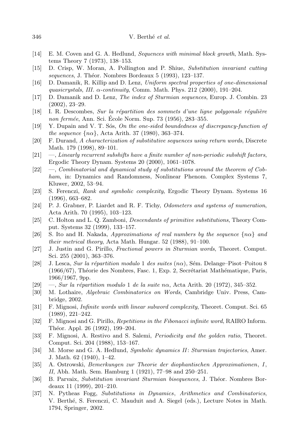- [14] E. M. Coven and G. A. Hedlund, Sequences with minimal block growth, Math. Systems Theory 7 (1973), 138–153.
- [15] D. Crisp, W. Moran, A. Pollington and P. Shiue, Substitution invariant cutting sequences, J. Théor. Nombres Bordeaux 5 (1993), 123–137.
- [16] D. Damanik, R. Killip and D. Lenz, Uniform spectral properties of one-dimensional quasicrystals, III.  $\alpha$ -continuity, Comm. Math. Phys. 212 (2000), 191–204.
- [17] D. Damanik and D. Lenz, The index of Sturmian sequences, Europ. J. Combin. 23 (2002), 23–29.
- $[18]$  I. R. Descombes, Sur la répartition des sommets d'une ligne polygonale régulière non fermée, Ann. Sci. École Norm. Sup. 73 (1956), 283–355.
- $[19]$  Y. Dupain and V. T. Sos, On the one-sided boundedness of discrepancy-function of the sequence  $\{n\alpha\}$ , Acta Arith. 37 (1980), 363–374.
- [20] F. Durand, A characterization of substitutive sequences using return words, Discrete Math. 179 (1998), 89–101.
- [21] —, Linearly recurrent subshifts have a finite number of non-periodic subshift factors, Ergodic Theory Dynam. Systems 20 (2000), 1061–1078.
- [22] —, Combinatorial and dynamical study of substitutions around the theorem of Cobham, in: Dynamics and Randomness, Nonlinear Phenom. Complex Systems 7, Kluwer, 2002, 53–94.
- [23] S. Ferenczi, Rank and symbolic complexity, Ergodic Theory Dynam. Systems 16 (1996), 663–682.
- [24] P. J. Grabner, P. Liardet and R. F. Tichy, Odometers and systems of numeration, Acta Arith. 70 (1995), 103–123.
- [25] C. Holton and L. Q. Zamboni, Descendants of primitive substitutions, Theory Comput. Systems 32 (1999), 133–157.
- [26] S. Ito and H. Nakada, Approximations of real numbers by the sequence  $\{n\alpha\}$  and their metrical theory, Acta Math. Hungar. 52 (1988), 91–100.
- [27] J. Justin and G. Pirillo, Fractional powers in Sturmian words, Theoret. Comput. Sci. 255 (2001), 363–376.
- [28] J. Lesca, Sur la répartition modulo 1 des suites  $(n\alpha)$ , Sém. Delange–Pisot–Poitou 8  $(1966/67)$ , Théorie des Nombres, Fasc. 1, Exp. 2, Secrétariat Mathématique, Paris, 1966/1967, 9pp.
- [29]  $\sim$ , Sur la répartition modulo 1 de la suite n $\alpha$ , Acta Arith. 20 (1972), 345–352.
- [30] M. Lothaire, Algebraic Combinatorics on Words, Cambridge Univ. Press, Cambridge, 2002.
- [31] F. Mignosi, *Infinite words with linear subword complexity*, Theoret. Comput. Sci. 65 (1989), 221–242.
- [32] F. Mignosi and G. Pirillo, Repetitions in the Fibonacci infinite word, RAIRO Inform. Théor. Appl. 26 (1992), 199–204.
- [33] F. Mignosi, A. Restivo and S. Salemi, *Periodicity and the golden ratio*, Theoret. Comput. Sci. 204 (1988), 153–167.
- [34] M. Morse and G. A. Hedlund, Symbolic dynamics II: Sturmian trajectories, Amer. J. Math. 62 (1940), 1–42.
- [35] A. Ostrowski, Bemerkungen zur Theorie der diophantischen Approximationen, I, II, Abh. Math. Sem. Hamburg 1 (1921), 77–98 and 250–251.
- [36] B. Parvaix, Substitution invariant Sturmian bisequences, J. Théor. Nombres Bordeaux 11 (1999), 201–210.
- [37] N. Pytheas Fogg, Substitutions in Dynamics, Arithmetics and Combinatorics, V. Berth´e, S. Ferenczi, C. Mauduit and A. Siegel (eds.), Lecture Notes in Math. 1794, Springer, 2002.